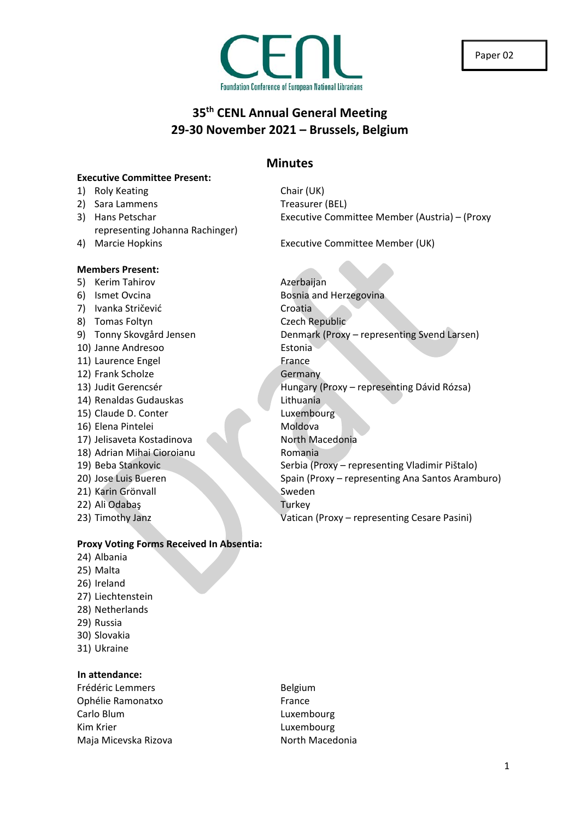

### **35th CENL Annual General Meeting 29-30 November 2021 – Brussels, Belgium**

### **Minutes**

### **Executive Committee Present:**

- 1) Roly Keating Chair (UK)
- 2) Sara Lammens Treasurer (BEL)
- 3) Hans Petschar Executive Committee Member (Austria) (Proxy representing Johanna Rachinger)
- 4) Marcie Hopkins Executive Committee Member (UK)

### **Members Present:**

- 5) Kerim Tahirov **Azerbaijan**
- 
- 7) Ivanka Stričević Croatia
- 8) Tomas Foltyn Czech Republic
- 
- 10) Janne Andresoo Estonia
- 11) Laurence Engel France
- 12) Frank Scholze Germany
- 
- 14) Renaldas Gudauskas Lithuania
- 15) Claude D. Conter Luxembourg
- 16) Elena Pintelei Moldova
- 17) Jelisaveta Kostadinova North Macedonia
- 18) Adrian Mihai Cioroianu **Romania**
- 
- 
- 21) Karin Grönvall Sweden
- 22) Ali Odabaş Turkey
- 

# 6) Ismet Ovcina **Bosnia and Herzegovina** 9) Tonny Skovgård Jensen Denmark (Proxy – representing Svend Larsen) 13) Judit Gerencsér **Hungary (Proxy – representing Dávid Rózsa**) 19) Beba Stankovic Serbia (Proxy – representing Vladimir Pištalo) 20) Jose Luis Bueren Spain (Proxy – representing Ana Santos Aramburo)

23) Timothy Janz **Vatican (Proxy – representing Cesare Pasini**)

### **Proxy Voting Forms Received In Absentia:**

- 24) Albania
- 25) Malta
- 26) Ireland
- 27) Liechtenstein
- 28) Netherlands
- 29) Russia
- 30) Slovakia
- 31) Ukraine

### **In attendance:**

Frédéric Lemmers **Belgium** Ophélie Ramonatxo **France** Carlo Blum Luxembourg Kim Krier **Luxembourg Luxembourg** Maja Micevska Rizova North Macedonia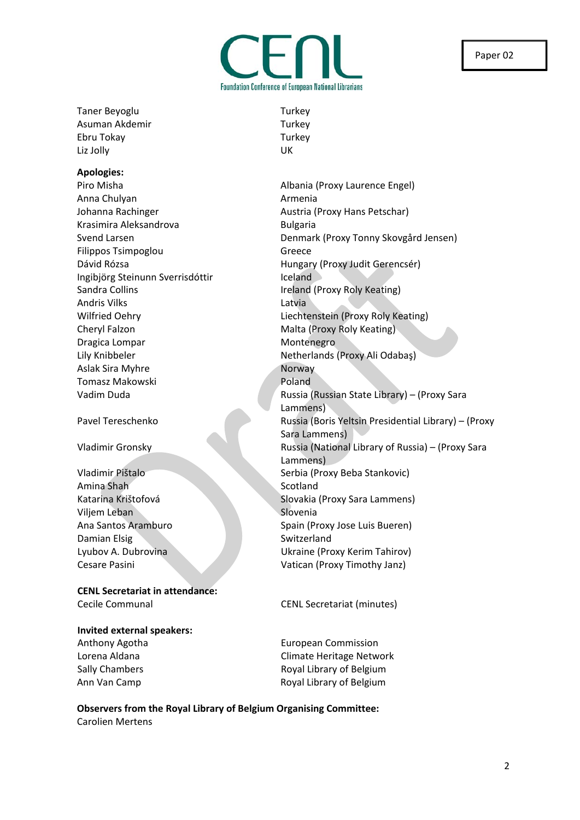Taner Beyoglu Turkey Asuman Akdemir Turkey Ebru Tokay Turkey Liz Jolly UK

### **Apologies:**

Anna Chulyan **Anna Chulyan** Armenia Johanna Rachinger **Austria (Proxy Hans Petschar)** Austria (Proxy Hans Petschar) Krasimira Aleksandrova<br>
Bulgaria Filippos Tsimpoglou Greece Ingibjörg Steinunn Sverrisdóttir **Ingibjörg Steinunn Sverrisdóttir Ingiland** Sandra Collins **Ireland (Proxy Roly Keating)** Andris Vilks Latvia Cheryl Falzon Malta (Proxy Roly Keating) Dragica Lompar **Montenegro** Montenegro Aslak Sira Myhre Norway Tomasz Makowski **Poland** 

Amina Shah Scotland Viljem Leban Slovenia Damian Elsig Switzerland

**CENL Secretariat in attendance:** Cecile Communal CENL Secretariat (minutes)

**Invited external speakers:**

Piro Misha **Albania** (Proxy Laurence Engel) Svend Larsen Denmark (Proxy Tonny Skovgård Jensen) Dávid Rózsa **Magazitar Hungary (Proxy Judit Gerencsér)** Wilfried Oehry **Liechtenstein (Proxy Roly Keating)** Lily Knibbeler Netherlands (Proxy Ali Odabaş) Vadim Duda Russia (Russian State Library) – (Proxy Sara Lammens) Pavel Tereschenko Russia (Boris Yeltsin Presidential Library) – (Proxy Sara Lammens) Vladimir Gronsky Russia (National Library of Russia) – (Proxy Sara Lammens) Vladimir Pištalo Serbia (Proxy Beba Stankovic) Katarina Krištofová Slovakia (Proxy Sara Lammens) Ana Santos Aramburo Spain (Proxy Jose Luis Bueren) Lyubov A. Dubrovina Ukraine (Proxy Kerim Tahirov) Cesare Pasini Vatican (Proxy Timothy Janz)

Anthony Agotha **European Commission** Lorena Aldana **Climate Heritage Network** Sally Chambers **Royal Library of Belgium** Ann Van Camp **Royal Library of Belgium** 

**Observers from the Royal Library of Belgium Organising Committee:** Carolien Mertens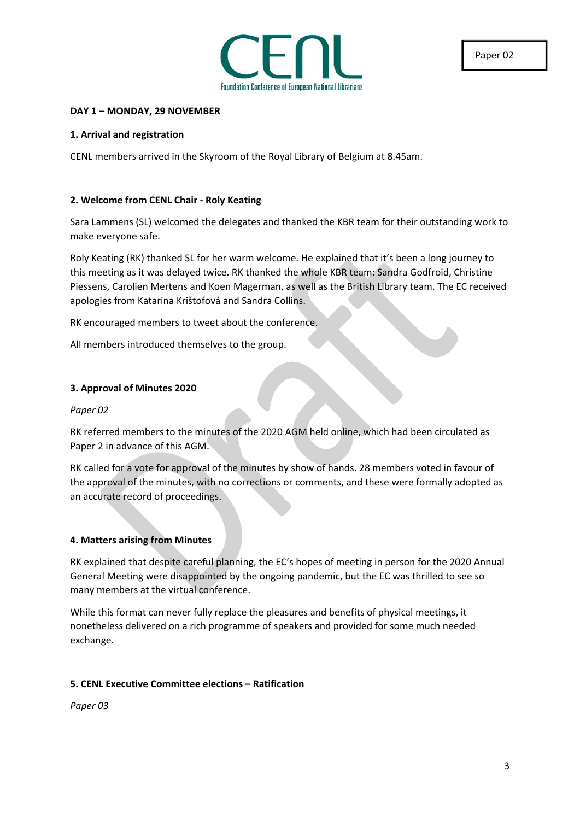

### **DAY 1 – MONDAY, 29 NOVEMBER**

#### **1. Arrival and registration**

CENL members arrived in the Skyroom of the Royal Library of Belgium at 8.45am.

### **2. Welcome from CENL Chair - Roly Keating**

Sara Lammens (SL) welcomed the delegates and thanked the KBR team for their outstanding work to make everyone safe.

Roly Keating (RK) thanked SL for her warm welcome. He explained that it's been a long journey to this meeting as it was delayed twice. RK thanked the whole KBR team: Sandra Godfroid, Christine Piessens, Carolien Mertens and Koen Magerman, as well as the British Library team. The EC received apologies from Katarina Krištofová and Sandra Collins.

RK encouraged members to tweet about the conference.

All members introduced themselves to the group.

#### **3. Approval of Minutes 2020**

*Paper 02*

RK referred members to the minutes of the 2020 AGM held online, which had been circulated as Paper 2 in advance of this AGM.

RK called for a vote for approval of the minutes by show of hands. 28 members voted in favour of the approval of the minutes, with no corrections or comments, and these were formally adopted as an accurate record of proceedings.

### **4. Matters arising from Minutes**

RK explained that despite careful planning, the EC's hopes of meeting in person for the 2020 Annual General Meeting were disappointed by the ongoing pandemic, but the EC was thrilled to see so many members at the virtual conference.

While this format can never fully replace the pleasures and benefits of physical meetings, it nonetheless delivered on a rich programme of speakers and provided for some much needed exchange.

### **5. CENL Executive Committee elections – Ratification**

*Paper 03*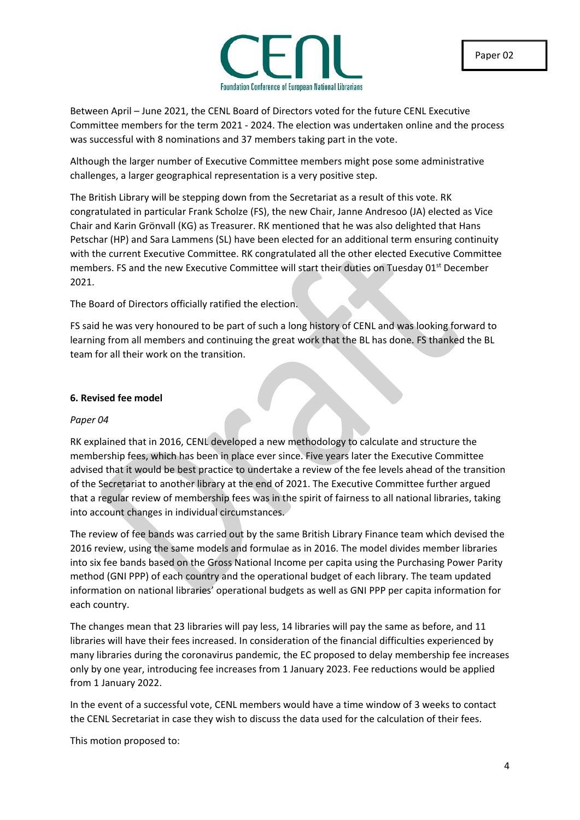

Between April – June 2021, the CENL Board of Directors voted for the future CENL Executive Committee members for the term 2021 - 2024. The election was undertaken online and the process was successful with 8 nominations and 37 members taking part in the vote.

Although the larger number of Executive Committee members might pose some administrative challenges, a larger geographical representation is a very positive step.

The British Library will be stepping down from the Secretariat as a result of this vote. RK congratulated in particular Frank Scholze (FS), the new Chair, Janne Andresoo (JA) elected as Vice Chair and Karin Grönvall (KG) as Treasurer. RK mentioned that he was also delighted that Hans Petschar (HP) and Sara Lammens (SL) have been elected for an additional term ensuring continuity with the current Executive Committee. RK congratulated all the other elected Executive Committee members. FS and the new Executive Committee will start their duties on Tuesday 01<sup>st</sup> December 2021.

The Board of Directors officially ratified the election.

FS said he was very honoured to be part of such a long history of CENL and was looking forward to learning from all members and continuing the great work that the BL has done. FS thanked the BL team for all their work on the transition.

### **6. Revised fee model**

### *Paper 04*

RK explained that in 2016, CENL developed a new methodology to calculate and structure the membership fees, which has been in place ever since. Five years later the Executive Committee advised that it would be best practice to undertake a review of the fee levels ahead of the transition of the Secretariat to another library at the end of 2021. The Executive Committee further argued that a regular review of membership fees was in the spirit of fairness to all national libraries, taking into account changes in individual circumstances.

The review of fee bands was carried out by the same British Library Finance team which devised the 2016 review, using the same models and formulae as in 2016. The model divides member libraries into six fee bands based on the Gross National Income per capita using the Purchasing Power Parity method (GNI PPP) of each country and the operational budget of each library. The team updated information on national libraries' operational budgets as well as GNI PPP per capita information for each country.

The changes mean that 23 libraries will pay less, 14 libraries will pay the same as before, and 11 libraries will have their fees increased. In consideration of the financial difficulties experienced by many libraries during the coronavirus pandemic, the EC proposed to delay membership fee increases only by one year, introducing fee increases from 1 January 2023. Fee reductions would be applied from 1 January 2022.

In the event of a successful vote, CENL members would have a time window of 3 weeks to contact the CENL Secretariat in case they wish to discuss the data used for the calculation of their fees.

This motion proposed to: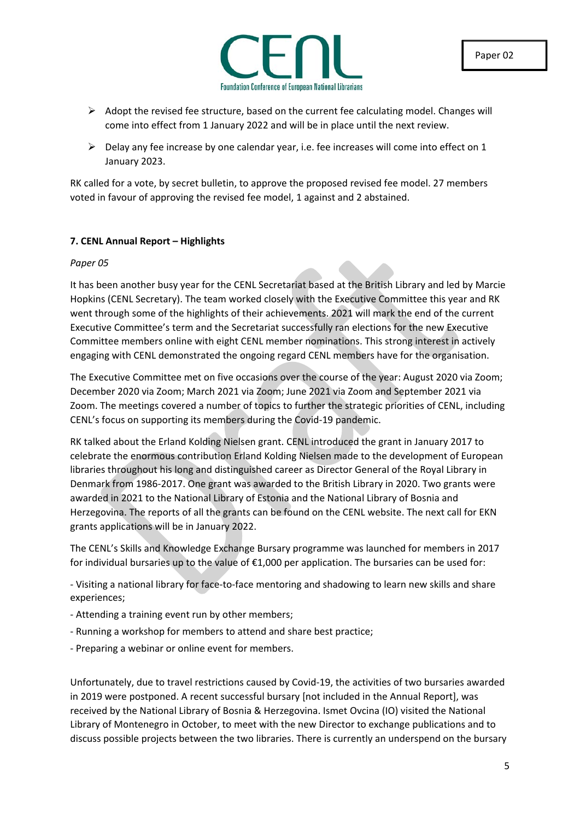

- $\triangleright$  Adopt the revised fee structure, based on the current fee calculating model. Changes will come into effect from 1 January 2022 and will be in place until the next review.
- $\triangleright$  Delay any fee increase by one calendar year, i.e. fee increases will come into effect on 1 January 2023.

RK called for a vote, by secret bulletin, to approve the proposed revised fee model. 27 members voted in favour of approving the revised fee model, 1 against and 2 abstained.

### **7. CENL Annual Report – Highlights**

### *Paper 05*

It has been another busy year for the CENL Secretariat based at the British Library and led by Marcie Hopkins (CENL Secretary). The team worked closely with the Executive Committee this year and RK went through some of the highlights of their achievements. 2021 will mark the end of the current Executive Committee's term and the Secretariat successfully ran elections for the new Executive Committee members online with eight CENL member nominations. This strong interest in actively engaging with CENL demonstrated the ongoing regard CENL members have for the organisation.

The Executive Committee met on five occasions over the course of the year: August 2020 via Zoom; December 2020 via Zoom; March 2021 via Zoom; June 2021 via Zoom and September 2021 via Zoom. The meetings covered a number of topics to further the strategic priorities of CENL, including CENL's focus on supporting its members during the Covid-19 pandemic.

RK talked about the Erland Kolding Nielsen grant. CENL introduced the grant in January 2017 to celebrate the enormous contribution Erland Kolding Nielsen made to the development of European libraries throughout his long and distinguished career as Director General of the Royal Library in Denmark from 1986-2017. One grant was awarded to the British Library in 2020. Two grants were awarded in 2021 to the National Library of Estonia and the National Library of Bosnia and Herzegovina. The reports of all the grants can be found on the CENL website. The next call for EKN grants applications will be in January 2022.

The CENL's Skills and Knowledge Exchange Bursary programme was launched for members in 2017 for individual bursaries up to the value of €1,000 per application. The bursaries can be used for:

- Visiting a national library for face-to-face mentoring and shadowing to learn new skills and share experiences;

- Attending a training event run by other members;
- Running a workshop for members to attend and share best practice;
- Preparing a webinar or online event for members.

Unfortunately, due to travel restrictions caused by Covid-19, the activities of two bursaries awarded in 2019 were postponed. A recent successful bursary [not included in the Annual Report], was received by the National Library of Bosnia & Herzegovina. Ismet Ovcina (IO) visited the National Library of Montenegro in October, to meet with the new Director to exchange publications and to discuss possible projects between the two libraries. There is currently an underspend on the bursary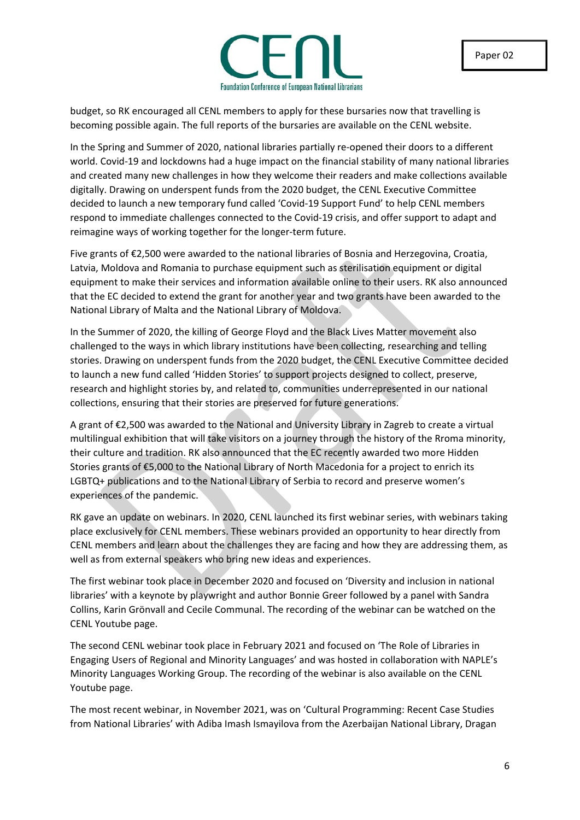

budget, so RK encouraged all CENL members to apply for these bursaries now that travelling is becoming possible again. The full reports of the bursaries are available on the CENL website.

In the Spring and Summer of 2020, national libraries partially re-opened their doors to a different world. Covid-19 and lockdowns had a huge impact on the financial stability of many national libraries and created many new challenges in how they welcome their readers and make collections available digitally. Drawing on underspent funds from the 2020 budget, the CENL Executive Committee decided to launch a new temporary fund called 'Covid-19 Support Fund' to help CENL members respond to immediate challenges connected to the Covid-19 crisis, and offer support to adapt and reimagine ways of working together for the longer-term future.

Five grants of €2,500 were awarded to the national libraries of Bosnia and Herzegovina, Croatia, Latvia, Moldova and Romania to purchase equipment such as sterilisation equipment or digital equipment to make their services and information available online to their users. RK also announced that the EC decided to extend the grant for another year and two grants have been awarded to the National Library of Malta and the National Library of Moldova.

In the Summer of 2020, the killing of George Floyd and the Black Lives Matter movement also challenged to the ways in which library institutions have been collecting, researching and telling stories. Drawing on underspent funds from the 2020 budget, the CENL Executive Committee decided to launch a new fund called 'Hidden Stories' to support projects designed to collect, preserve, research and highlight stories by, and related to, communities underrepresented in our national collections, ensuring that their stories are preserved for future generations.

A grant of €2,500 was awarded to the National and University Library in Zagreb to create a virtual multilingual exhibition that will take visitors on a journey through the history of the Rroma minority, their culture and tradition. RK also announced that the EC recently awarded two more Hidden Stories grants of €5,000 to the National Library of North Macedonia for a project to enrich its LGBTQ+ publications and to the National Library of Serbia to record and preserve women's experiences of the pandemic.

RK gave an update on webinars. In 2020, CENL launched its first webinar series, with webinars taking place exclusively for CENL members. These webinars provided an opportunity to hear directly from CENL members and learn about the challenges they are facing and how they are addressing them, as well as from external speakers who bring new ideas and experiences.

The first webinar took place in December 2020 and focused on 'Diversity and inclusion in national libraries' with a keynote by playwright and author Bonnie Greer followed by a panel with Sandra Collins, Karin Grӧnvall and Cecile Communal. The recording of the webinar can be watched on the CENL Youtube page.

The second CENL webinar took place in February 2021 and focused on 'The Role of Libraries in Engaging Users of Regional and Minority Languages' and was hosted in collaboration with NAPLE's Minority Languages Working Group. The recording of the webinar is also available on the CENL Youtube page.

The most recent webinar, in November 2021, was on 'Cultural Programming: Recent Case Studies from National Libraries' with Adiba Imash Ismayilova from the Azerbaijan National Library, Dragan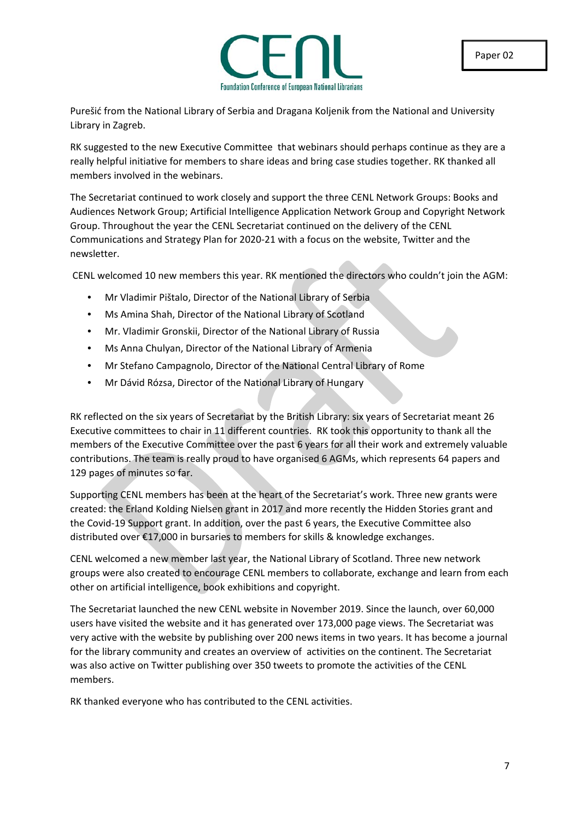

Purešić from the National Library of Serbia and Dragana Koljenik from the National and University Library in Zagreb.

RK suggested to the new Executive Committee that webinars should perhaps continue as they are a really helpful initiative for members to share ideas and bring case studies together. RK thanked all members involved in the webinars.

The Secretariat continued to work closely and support the three CENL Network Groups: Books and Audiences Network Group; Artificial Intelligence Application Network Group and Copyright Network Group. Throughout the year the CENL Secretariat continued on the delivery of the CENL Communications and Strategy Plan for 2020-21 with a focus on the website, Twitter and the newsletter.

CENL welcomed 10 new members this year. RK mentioned the directors who couldn't join the AGM:

- Mr Vladimir Pištalo, Director of the National Library of Serbia
- Ms Amina Shah, Director of the National Library of Scotland
- Mr. Vladimir Gronskii, Director of the National Library of Russia
- Ms Anna Chulyan, Director of the National Library of Armenia
- Mr Stefano Campagnolo, Director of the National Central Library of Rome
- Mr Dávid Rózsa, Director of the National Library of Hungary

RK reflected on the six years of Secretariat by the British Library: six years of Secretariat meant 26 Executive committees to chair in 11 different countries. RK took this opportunity to thank all the members of the Executive Committee over the past 6 years for all their work and extremely valuable contributions. The team is really proud to have organised 6 AGMs, which represents 64 papers and 129 pages of minutes so far.

Supporting CENL members has been at the heart of the Secretariat's work. Three new grants were created: the Erland Kolding Nielsen grant in 2017 and more recently the Hidden Stories grant and the Covid-19 Support grant. In addition, over the past 6 years, the Executive Committee also distributed over €17,000 in bursaries to members for skills & knowledge exchanges.

CENL welcomed a new member last year, the National Library of Scotland. Three new network groups were also created to encourage CENL members to collaborate, exchange and learn from each other on artificial intelligence, book exhibitions and copyright.

The Secretariat launched the new CENL website in November 2019. Since the launch, over 60,000 users have visited the website and it has generated over 173,000 page views. The Secretariat was very active with the website by publishing over 200 news items in two years. It has become a journal for the library community and creates an overview of activities on the continent. The Secretariat was also active on Twitter publishing over 350 tweets to promote the activities of the CENL members.

RK thanked everyone who has contributed to the CENL activities.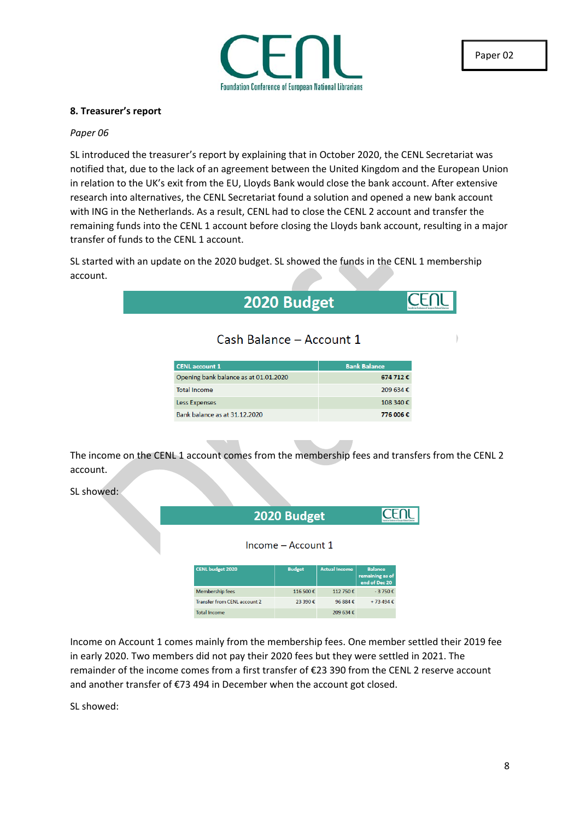

### **8. Treasurer's report**

#### *Paper 06*

SL introduced the treasurer's report by explaining that in October 2020, the CENL Secretariat was notified that, due to the lack of an agreement between the United Kingdom and the European Union in relation to the UK's exit from the EU, Lloyds Bank would close the bank account. After extensive research into alternatives, the CENL Secretariat found a solution and opened a new bank account with ING in the Netherlands. As a result, CENL had to close the CENL 2 account and transfer the remaining funds into the CENL 1 account before closing the Lloyds bank account, resulting in a major transfer of funds to the CENL 1 account.

SL started with an update on the 2020 budget. SL showed the funds in the CENL 1 membership account.

| 2020 Budget                           |                     | leardsties Conference of Surgean Retinnal Li |
|---------------------------------------|---------------------|----------------------------------------------|
| Cash Balance - Account 1              |                     |                                              |
| <b>CENL</b> account 1                 | <b>Bank Balance</b> |                                              |
|                                       |                     |                                              |
| Opening bank balance as at 01.01.2020 | 674 712€            |                                              |
| <b>Total Income</b>                   | 209 634€            |                                              |
| Less Expenses                         | 108 340€            |                                              |

The income on the CENL 1 account comes from the membership fees and transfers from the CENL 2 account.

SL showed:

|                              | 2020 Budget        |                      |                                  |  |  |
|------------------------------|--------------------|----------------------|----------------------------------|--|--|
|                              | Income – Account 1 |                      |                                  |  |  |
| <b>CENL budget 2020</b>      | <b>Budget</b>      | <b>Actual Income</b> | <b>Balance</b>                   |  |  |
|                              |                    |                      | remaining as of<br>end of Dec 20 |  |  |
| Membership fees              | 116,500€           | 112 750 €            | $-3750€$                         |  |  |
| Transfer from CENL account 2 | 23.390€            | 96 884 €             | +73 494 €                        |  |  |

Income on Account 1 comes mainly from the membership fees. One member settled their 2019 fee in early 2020. Two members did not pay their 2020 fees but they were settled in 2021. The remainder of the income comes from a first transfer of €23 390 from the CENL 2 reserve account and another transfer of €73 494 in December when the account got closed.

SL showed: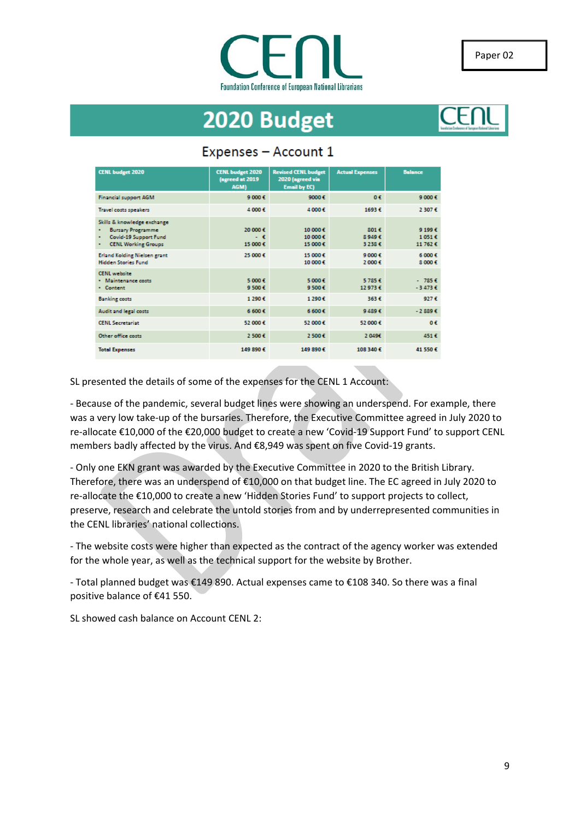

# 2020 Budget



### Expenses - Account 1

| <b>CENL budget 2020</b>                                                                                                       | <b>CENL budget 2020</b><br>(agreed at 2019)<br>AGM) | <b>Revised CENL budget</b><br>2020 (agreed via<br><b>Email by EC)</b> | <b>Actual Expenses</b> | <b>Balance</b>              |
|-------------------------------------------------------------------------------------------------------------------------------|-----------------------------------------------------|-----------------------------------------------------------------------|------------------------|-----------------------------|
| <b>Financial support AGM</b>                                                                                                  | 9 000€                                              | 9000€                                                                 | 0€                     | 9 000€                      |
| <b>Travel costs speakers</b>                                                                                                  | 4 000€                                              | 4 000€                                                                | 1693€                  | 2 307 €                     |
| Skills & knowledge exchange<br><b>Bursary Programme</b><br>٠<br>Covid-19 Support Fund<br>٠<br><b>CENL Working Groups</b><br>٠ | 20 000 €<br>- 6<br>15 000 €                         | 10 000€<br>10 000€<br>15 000€                                         | 8016<br>89496<br>3238€ | 9 199€<br>1051€<br>11 762 € |
| <b>Erland Kolding Nielsen grant</b><br><b>Hidden Stories Fund</b>                                                             | 25 000 €                                            | 15 000€<br>10 000€                                                    | 9000E<br>2 000€        | 6000E<br>8 000€             |
| <b>CENL</b> website<br>· Maintenance costs<br>• Content                                                                       | 5.000.6<br>9 500 €                                  | 5.000.6<br>9500€                                                      | 5.785.6<br>12973€      | $-785E$<br>$-3473C$         |
| <b>Banking costs</b>                                                                                                          | 1 290€                                              | 1290€                                                                 | 363€                   | 927€                        |
| Audit and legal costs                                                                                                         | 6 600€                                              | 6 600€                                                                | 9 489 6                | $-2889E$                    |
| <b>CENL Secretariat</b>                                                                                                       | 52 000 €                                            | 52 000€                                                               | 52,000€                | 0€                          |
| Other office costs                                                                                                            | 2 500 €                                             | 2500€                                                                 | 2.0496                 | 451€                        |
| <b>Total Expenses</b>                                                                                                         | 149 890 €                                           | 149 890€                                                              | 108 340 €              | 41 550€                     |

SL presented the details of some of the expenses for the CENL 1 Account:

- Because of the pandemic, several budget lines were showing an underspend. For example, there was a very low take-up of the bursaries. Therefore, the Executive Committee agreed in July 2020 to re-allocate €10,000 of the €20,000 budget to create a new 'Covid-19 Support Fund' to support CENL members badly affected by the virus. And €8,949 was spent on five Covid-19 grants.

- Only one EKN grant was awarded by the Executive Committee in 2020 to the British Library. Therefore, there was an underspend of €10,000 on that budget line. The EC agreed in July 2020 to re-allocate the €10,000 to create a new 'Hidden Stories Fund' to support projects to collect, preserve, research and celebrate the untold stories from and by underrepresented communities in the CENL libraries' national collections.

- The website costs were higher than expected as the contract of the agency worker was extended for the whole year, as well as the technical support for the website by Brother.

- Total planned budget was €149 890. Actual expenses came to €108 340. So there was a final positive balance of €41 550.

SL showed cash balance on Account CENL 2: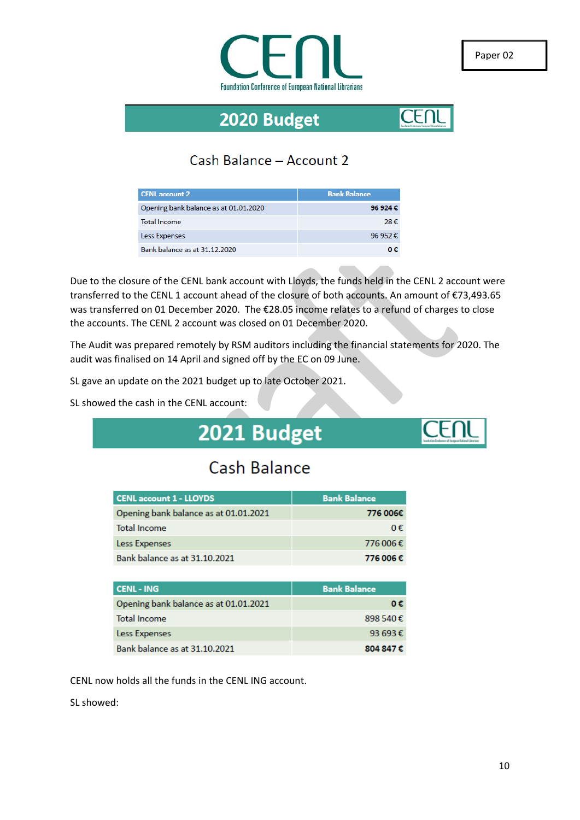

# 2020 Budget



## Cash Balance - Account 2

| <b>CENL</b> account 2                 | <b>Bank Balance</b>  |
|---------------------------------------|----------------------|
| Opening bank balance as at 01.01.2020 | 96 924 $\varepsilon$ |
| <b>Total Income</b>                   | 28€                  |
| Less Expenses                         | 96.952 $\epsilon$    |
| Bank balance as at 31.12.2020         | 0€                   |

Due to the closure of the CENL bank account with Lloyds, the funds held in the CENL 2 account were transferred to the CENL 1 account ahead of the closure of both accounts. An amount of €73,493.65 was transferred on 01 December 2020. The €28.05 income relates to a refund of charges to close the accounts. The CENL 2 account was closed on 01 December 2020.

The Audit was prepared remotely by RSM auditors including the financial statements for 2020. The audit was finalised on 14 April and signed off by the EC on 09 June.

SL gave an update on the 2021 budget up to late October 2021.

SL showed the cash in the CENL account:

# 2021 Budget

# Cash Balance

| <b>CENL account 1 - LLOYDS</b>        | <b>Bank Balance</b> |
|---------------------------------------|---------------------|
| Opening bank balance as at 01.01.2021 | 776 006€            |
| <b>Total Income</b>                   | 0€                  |
| Less Expenses                         | 776 006€            |
| Bank balance as at 31.10.2021         | 776 006€            |

| <b>CENL - ING</b>                     | <b>Bank Balance</b> |
|---------------------------------------|---------------------|
| Opening bank balance as at 01.01.2021 | 0€.                 |
| <b>Total Income</b>                   | 898 540 €           |
| Less Expenses                         | 93 693 $\epsilon$   |
| Bank balance as at 31.10.2021         | 804 847 €           |

CENL now holds all the funds in the CENL ING account.

SL showed: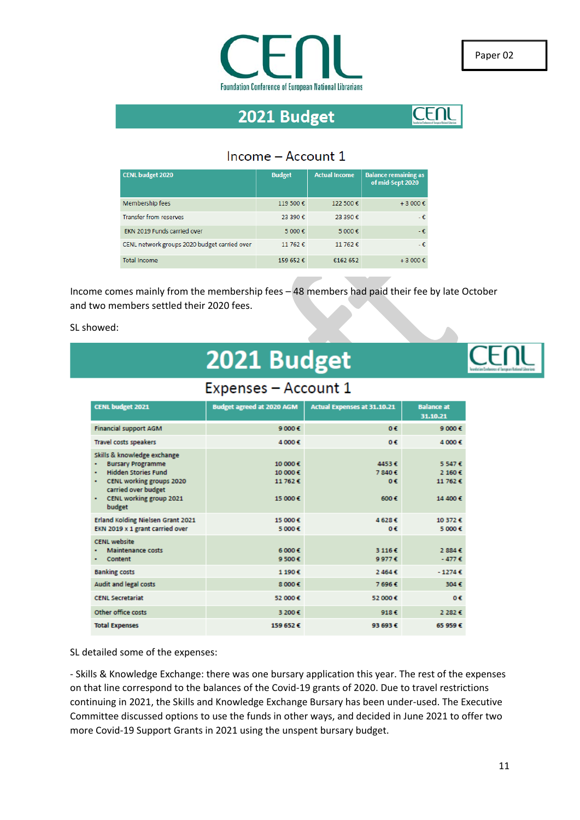

# 2021 Budget



### Income - Account 1

| <b>CENL budget 2020</b>                      | <b>Budget</b> | <b>Actual Income</b> | <b>Balance remaining as</b><br>of mid-Sept 2020 |
|----------------------------------------------|---------------|----------------------|-------------------------------------------------|
| Membership fees                              | 119 500€      | 122 500 €            | $+3000 \text{€}$                                |
| <b>Transfer from reserves</b>                | 23 390€       | 23,390€              | -€.                                             |
| EKN 2019 Funds carried over                  | 5 000 €       | 5 000€               | $-\epsilon$                                     |
| CENL network groups 2020 budget carried over | 11 762 €      | 11 762 €             | -€.                                             |
| <b>Total Income</b>                          | 159 652€      | €162 652             | $+3000 \text{€}$                                |

Income comes mainly from the membership fees – 48 members had paid their fee by late October and two members settled their 2020 fees.

SL showed:

# 2021 Budget



## Expenses - Account 1

| <b>CENL budget 2021</b>                                                                                                                                                                           | <b>Budget agreed at 2020 AGM</b>        | <b>Actual Expenses at 31.10.21</b> | <b>Balance</b> at<br>31.10.21             |
|---------------------------------------------------------------------------------------------------------------------------------------------------------------------------------------------------|-----------------------------------------|------------------------------------|-------------------------------------------|
| <b>Financial support AGM</b>                                                                                                                                                                      | 9000E                                   | $0 \in$                            | 9 000€                                    |
| <b>Travel costs speakers</b>                                                                                                                                                                      | 4 000€                                  | 0 <sub>0</sub>                     | 4 000€                                    |
| Skills & knowledge exchange<br><b>Bursary Programme</b><br>٠<br><b>Hidden Stories Fund</b><br>٠<br>CENL working groups 2020<br>٠<br>carried over budget<br>CENL working group 2021<br>٠<br>budget | 10 000€<br>10 000€<br>11762€<br>15 000€ | 4453€<br>7840€<br>06<br>600 E      | 5.547€<br>2 160 €<br>11 762 €<br>14 400 € |
| Erland Kolding Nielsen Grant 2021<br>EKN 2019 x 1 grant carried over                                                                                                                              | 15 000 €<br>5 000€                      | 4628€<br>0 <sub>0</sub>            | 10 372 6<br>5000C                         |
| <b>CENL</b> website<br><b>Maintenance costs</b><br><b>Content</b>                                                                                                                                 | 6000E<br>9500E                          | 31166<br>9977E                     | 2884E<br>$-477E$                          |
| <b>Banking costs</b>                                                                                                                                                                              | 1190€                                   | 2.4646                             | $-1274E$                                  |
| <b>Audit and legal costs</b>                                                                                                                                                                      | 8 000€                                  | 7696€                              | 304€                                      |
| <b>CENL Secretariat</b>                                                                                                                                                                           | 52 000€                                 | 52 000€                            | o€                                        |
| Other office costs                                                                                                                                                                                | 3 200€                                  | 918€                               | 2 282 €                                   |
| <b>Total Expenses</b>                                                                                                                                                                             | 159 652 €                               | 93 693 €                           | 65 959 6                                  |

SL detailed some of the expenses:

- Skills & Knowledge Exchange: there was one bursary application this year. The rest of the expenses on that line correspond to the balances of the Covid-19 grants of 2020. Due to travel restrictions continuing in 2021, the Skills and Knowledge Exchange Bursary has been under-used. The Executive Committee discussed options to use the funds in other ways, and decided in June 2021 to offer two more Covid-19 Support Grants in 2021 using the unspent bursary budget.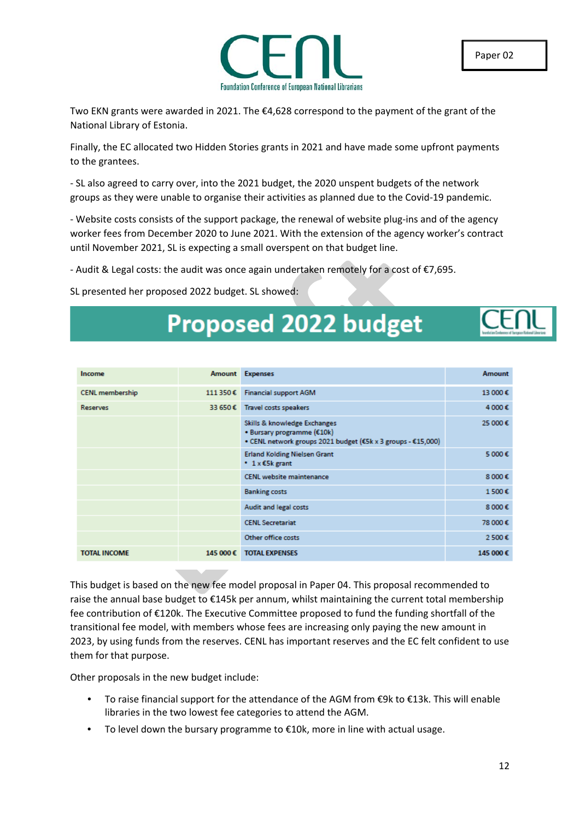

Two EKN grants were awarded in 2021. The €4,628 correspond to the payment of the grant of the National Library of Estonia.

Finally, the EC allocated two Hidden Stories grants in 2021 and have made some upfront payments to the grantees.

- SL also agreed to carry over, into the 2021 budget, the 2020 unspent budgets of the network groups as they were unable to organise their activities as planned due to the Covid-19 pandemic.

- Website costs consists of the support package, the renewal of website plug-ins and of the agency worker fees from December 2020 to June 2021. With the extension of the agency worker's contract until November 2021, SL is expecting a small overspent on that budget line.

- Audit & Legal costs: the audit was once again undertaken remotely for a cost of €7,695.

SL presented her proposed 2022 budget. SL showed:

# **Proposed 2022 budget**

| Income                 | Amount   | <b>Expenses</b>                                                                                                            | <b>Amount</b> |
|------------------------|----------|----------------------------------------------------------------------------------------------------------------------------|---------------|
| <b>CENL membership</b> | 111 350€ | <b>Financial support AGM</b>                                                                                               | 13 000€       |
| <b>Reserves</b>        | 33 650€  | <b>Travel costs speakers</b>                                                                                               | 4 000€        |
|                        |          | Skills & knowledge Exchanges<br>• Bursary programme (€10k)<br>• CENL network groups 2021 budget (€5k x 3 groups - €15,000) | 25 000€       |
|                        |          | <b>Erland Kolding Nielsen Grant</b><br>● $1 \times 55k$ grant                                                              | 5 000€        |
|                        |          | <b>CENL</b> website maintenance                                                                                            | 8 000€        |
|                        |          | <b>Banking costs</b>                                                                                                       | 1500€         |
|                        |          | Audit and legal costs                                                                                                      | 8 000€        |
|                        |          | <b>CENL Secretariat</b>                                                                                                    | 78 000€       |
|                        |          | Other office costs                                                                                                         | 2500€         |
| <b>TOTAL INCOME</b>    | 145 000€ | <b>TOTAL EXPENSES</b>                                                                                                      | 145 000€      |

This budget is based on the new fee model proposal in Paper 04. This proposal recommended to raise the annual base budget to €145k per annum, whilst maintaining the current total membership fee contribution of €120k. The Executive Committee proposed to fund the funding shortfall of the transitional fee model, with members whose fees are increasing only paying the new amount in 2023, by using funds from the reserves. CENL has important reserves and the EC felt confident to use them for that purpose.

Other proposals in the new budget include:

- To raise financial support for the attendance of the AGM from €9k to €13k. This will enable libraries in the two lowest fee categories to attend the AGM.
- To level down the bursary programme to €10k, more in line with actual usage.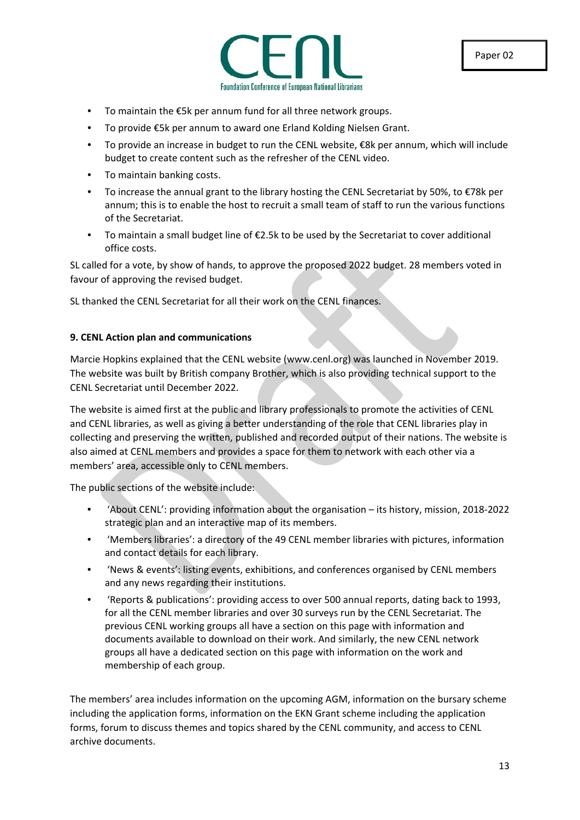

- To maintain the  $E5k$  per annum fund for all three network groups.
- To provide €5k per annum to award one Erland Kolding Nielsen Grant.
- To provide an increase in budget to run the CENL website, €8k per annum, which will include budget to create content such as the refresher of the CENL video.
- To maintain banking costs.
- To increase the annual grant to the library hosting the CENL Secretariat by 50%, to €78k per annum; this is to enable the host to recruit a small team of staff to run the various functions of the Secretariat.
- To maintain a small budget line of €2.5k to be used by the Secretariat to cover additional office costs.

SL called for a vote, by show of hands, to approve the proposed 2022 budget. 28 members voted in favour of approving the revised budget.

SL thanked the CENL Secretariat for all their work on the CENL finances.

### **9. CENL Action plan and communications**

Marcie Hopkins explained that the CENL website (www.cenl.org) was launched in November 2019. The website was built by British company Brother, which is also providing technical support to the CENL Secretariat until December 2022.

The website is aimed first at the public and library professionals to promote the activities of CENL and CENL libraries, as well as giving a better understanding of the role that CENL libraries play in collecting and preserving the written, published and recorded output of their nations. The website is also aimed at CENL members and provides a space for them to network with each other via a members' area, accessible only to CENL members.

The public sections of the website include:

- 'About CENL': providing information about the organisation its history, mission, 2018-2022 strategic plan and an interactive map of its members.
- 'Members libraries': a directory of the 49 CENL member libraries with pictures, information and contact details for each library.
- 'News & events': listing events, exhibitions, and conferences organised by CENL members and any news regarding their institutions.
- 'Reports & publications': providing access to over 500 annual reports, dating back to 1993, for all the CENL member libraries and over 30 surveys run by the CENL Secretariat. The previous CENL working groups all have a section on this page with information and documents available to download on their work. And similarly, the new CENL network groups all have a dedicated section on this page with information on the work and membership of each group.

The members' area includes information on the upcoming AGM, information on the bursary scheme including the application forms, information on the EKN Grant scheme including the application forms, forum to discuss themes and topics shared by the CENL community, and access to CENL archive documents.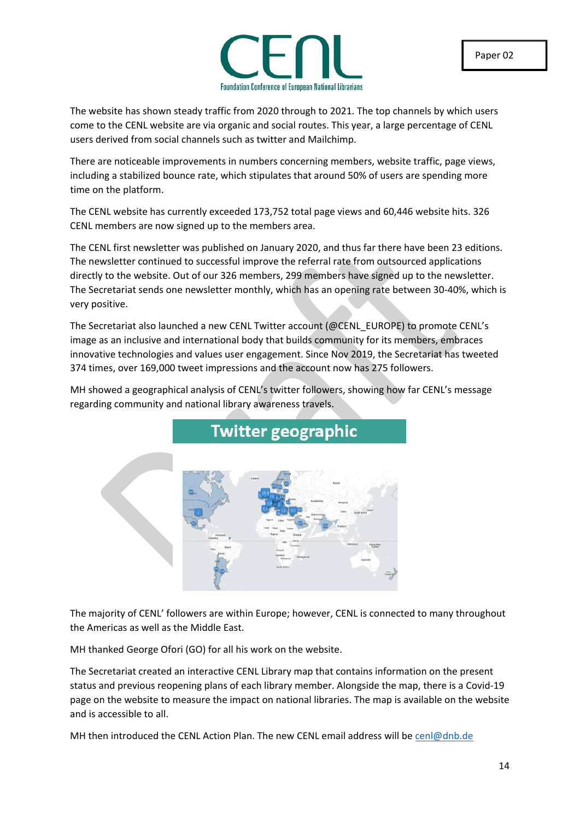

The website has shown steady traffic from 2020 through to 2021. The top channels by which users come to the CENL website are via organic and social routes. This year, a large percentage of CENL users derived from social channels such as twitter and Mailchimp.

There are noticeable improvements in numbers concerning members, website traffic, page views, including a stabilized bounce rate, which stipulates that around 50% of users are spending more time on the platform.

The CENL website has currently exceeded 173,752 total page views and 60,446 website hits. 326 CENL members are now signed up to the members area.

The CENL first newsletter was published on January 2020, and thus far there have been 23 editions. The newsletter continued to successful improve the referral rate from outsourced applications directly to the website. Out of our 326 members, 299 members have signed up to the newsletter. The Secretariat sends one newsletter monthly, which has an opening rate between 30-40%, which is very positive.

The Secretariat also launched a new CENL Twitter account (@CENL\_EUROPE) to promote CENL's image as an inclusive and international body that builds community for its members, embraces innovative technologies and values user engagement. Since Nov 2019, the Secretariat has tweeted 374 times, over 169,000 tweet impressions and the account now has 275 followers.

**Twitter geographic** 

MH showed a geographical analysis of CENL's twitter followers, showing how far CENL's message regarding community and national library awareness travels.

The majority of CENL' followers are within Europe; however, CENL is connected to many throughout the Americas as well as the Middle East.

MH thanked George Ofori (GO) for all his work on the website.

The Secretariat created an interactive CENL Library map that contains information on the present status and previous reopening plans of each library member. Alongside the map, there is a Covid-19 page on the website to measure the impact on national libraries. The map is available on the website and is accessible to all.

MH then introduced the CENL Action Plan. The new CENL email address will be [cenl@dnb.de](mailto:cenl@dnb.de)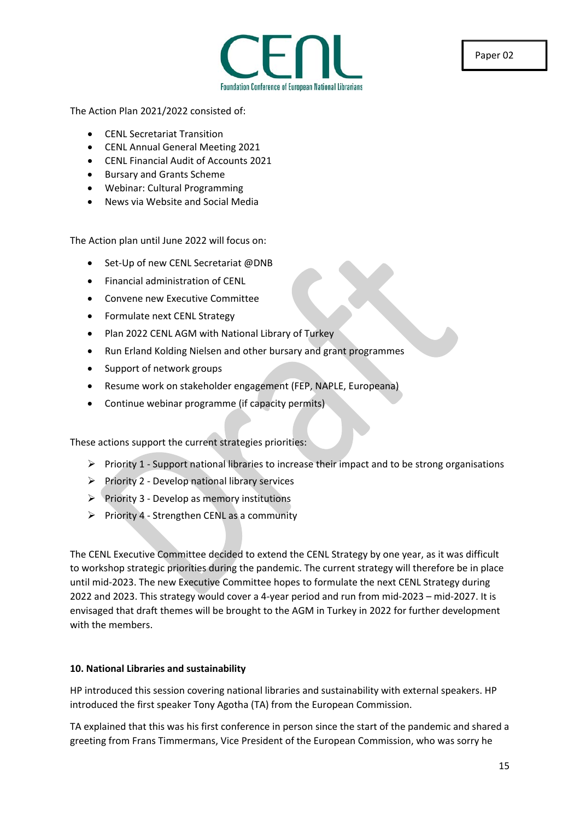

The Action Plan 2021/2022 consisted of:

- CENL Secretariat Transition
- CENL Annual General Meeting 2021
- CENL Financial Audit of Accounts 2021
- Bursary and Grants Scheme
- Webinar: Cultural Programming
- News via Website and Social Media

The Action plan until June 2022 will focus on:

- Set-Up of new CENL Secretariat @DNB
- Financial administration of CENL
- Convene new Executive Committee
- Formulate next CENL Strategy
- Plan 2022 CENL AGM with National Library of Turkey
- Run Erland Kolding Nielsen and other bursary and grant programmes
- Support of network groups
- Resume work on stakeholder engagement (FEP, NAPLE, Europeana)
- Continue webinar programme (if capacity permits)

These actions support the current strategies priorities:

- $\triangleright$  Priority 1 Support national libraries to increase their impact and to be strong organisations
- $\triangleright$  Priority 2 Develop national library services
- $\triangleright$  Priority 3 Develop as memory institutions
- $\triangleright$  Priority 4 Strengthen CENL as a community

The CENL Executive Committee decided to extend the CENL Strategy by one year, as it was difficult to workshop strategic priorities during the pandemic. The current strategy will therefore be in place until mid-2023. The new Executive Committee hopes to formulate the next CENL Strategy during 2022 and 2023. This strategy would cover a 4-year period and run from mid-2023 – mid-2027. It is envisaged that draft themes will be brought to the AGM in Turkey in 2022 for further development with the members.

### **10. National Libraries and sustainability**

HP introduced this session covering national libraries and sustainability with external speakers. HP introduced the first speaker Tony Agotha (TA) from the European Commission.

TA explained that this was his first conference in person since the start of the pandemic and shared a greeting from Frans Timmermans, Vice President of the European Commission, who was sorry he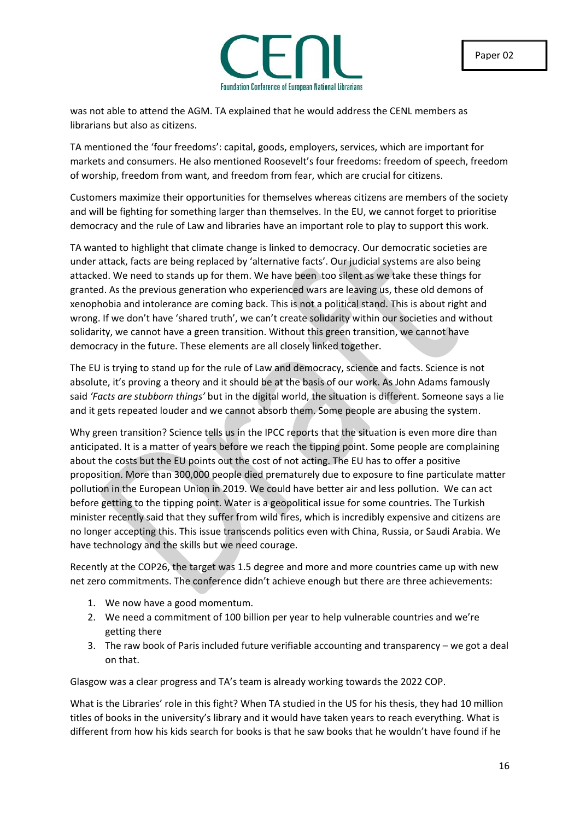

was not able to attend the AGM. TA explained that he would address the CENL members as librarians but also as citizens.

TA mentioned the 'four freedoms': capital, goods, employers, services, which are important for markets and consumers. He also mentioned Roosevelt's four freedoms: freedom of speech, freedom of worship, freedom from want, and freedom from fear, which are crucial for citizens.

Customers maximize their opportunities for themselves whereas citizens are members of the society and will be fighting for something larger than themselves. In the EU, we cannot forget to prioritise democracy and the rule of Law and libraries have an important role to play to support this work.

TA wanted to highlight that climate change is linked to democracy. Our democratic societies are under attack, facts are being replaced by 'alternative facts'. Our judicial systems are also being attacked. We need to stands up for them. We have been too silent as we take these things for granted. As the previous generation who experienced wars are leaving us, these old demons of xenophobia and intolerance are coming back. This is not a political stand. This is about right and wrong. If we don't have 'shared truth', we can't create solidarity within our societies and without solidarity, we cannot have a green transition. Without this green transition, we cannot have democracy in the future. These elements are all closely linked together.

The EU is trying to stand up for the rule of Law and democracy, science and facts. Science is not absolute, it's proving a theory and it should be at the basis of our work. As John Adams famously said *'Facts are stubborn things'* but in the digital world, the situation is different. Someone says a lie and it gets repeated louder and we cannot absorb them. Some people are abusing the system.

Why green transition? Science tells us in the IPCC reports that the situation is even more dire than anticipated. It is a matter of years before we reach the tipping point. Some people are complaining about the costs but the EU points out the cost of not acting. The EU has to offer a positive proposition. More than 300,000 people died prematurely due to exposure to fine particulate matter pollution in the European Union in 2019. We could have better air and less pollution. We can act before getting to the tipping point. Water is a geopolitical issue for some countries. The Turkish minister recently said that they suffer from wild fires, which is incredibly expensive and citizens are no longer accepting this. This issue transcends politics even with China, Russia, or Saudi Arabia. We have technology and the skills but we need courage.

Recently at the COP26, the target was 1.5 degree and more and more countries came up with new net zero commitments. The conference didn't achieve enough but there are three achievements:

- 1. We now have a good momentum.
- 2. We need a commitment of 100 billion per year to help vulnerable countries and we're getting there
- 3. The raw book of Paris included future verifiable accounting and transparency we got a deal on that.

Glasgow was a clear progress and TA's team is already working towards the 2022 COP.

What is the Libraries' role in this fight? When TA studied in the US for his thesis, they had 10 million titles of books in the university's library and it would have taken years to reach everything. What is different from how his kids search for books is that he saw books that he wouldn't have found if he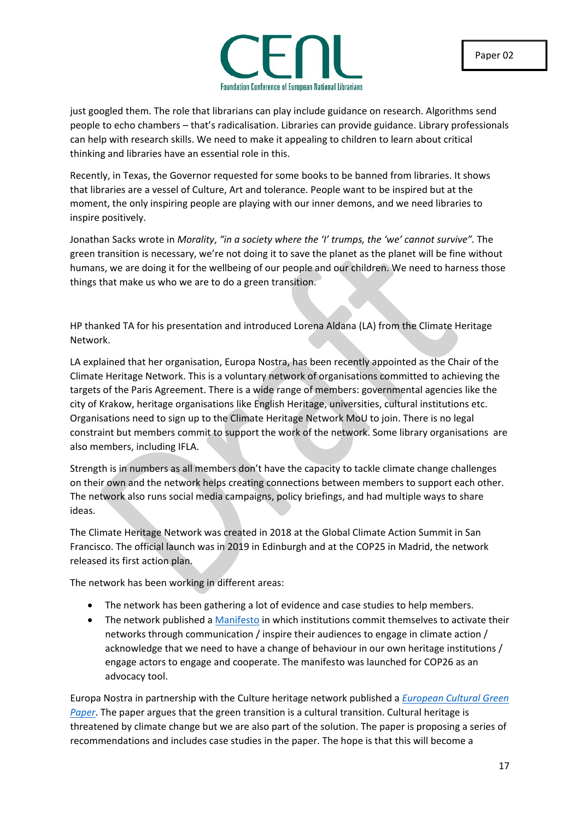

just googled them. The role that librarians can play include guidance on research. Algorithms send people to echo chambers – that's radicalisation. Libraries can provide guidance. Library professionals can help with research skills. We need to make it appealing to children to learn about critical thinking and libraries have an essential role in this.

Recently, in Texas, the Governor requested for some books to be banned from libraries. It shows that libraries are a vessel of Culture, Art and tolerance. People want to be inspired but at the moment, the only inspiring people are playing with our inner demons, and we need libraries to inspire positively.

Jonathan Sacks wrote in *Morality*, *"in a society where the 'I' trumps, the 'we' cannot survive".* The green transition is necessary, we're not doing it to save the planet as the planet will be fine without humans, we are doing it for the wellbeing of our people and our children. We need to harness those things that make us who we are to do a green transition.

HP thanked TA for his presentation and introduced Lorena Aldana (LA) from the Climate Heritage Network.

LA explained that her organisation, Europa Nostra, has been recently appointed as the Chair of the Climate Heritage Network. This is a voluntary network of organisations committed to achieving the targets of the Paris Agreement. There is a wide range of members: governmental agencies like the city of Krakow, heritage organisations like English Heritage, universities, cultural institutions etc. Organisations need to sign up to the Climate Heritage Network MoU to join. There is no legal constraint but members commit to support the work of the network. Some library organisations are also members, including IFLA.

Strength is in numbers as all members don't have the capacity to tackle climate change challenges on their own and the network helps creating connections between members to support each other. The network also runs social media campaigns, policy briefings, and had multiple ways to share ideas.

The Climate Heritage Network was created in 2018 at the Global Climate Action Summit in San Francisco. The official launch was in 2019 in Edinburgh and at the COP25 in Madrid, the network released its first action plan.

The network has been working in different areas:

- The network has been gathering a lot of evidence and case studies to help members.
- The network published a [Manifesto](https://climateheritage.org/wp-content/uploads/Manifesto_CultureAtCOP_en-final-Full-text.pdf) in which institutions commit themselves to activate their networks through communication / inspire their audiences to engage in climate action / acknowledge that we need to have a change of behaviour in our own heritage institutions / engage actors to engage and cooperate. The manifesto was launched for COP26 as an advocacy tool.

Europa Nostra in partnership with the Culture heritage network published a *[European Cultural Green](https://issuu.com/europanostra/docs/20210322-european_cultural_heritage_green_paper_fu)  [Paper](https://issuu.com/europanostra/docs/20210322-european_cultural_heritage_green_paper_fu)*. The paper argues that the green transition is a cultural transition. Cultural heritage is threatened by climate change but we are also part of the solution. The paper is proposing a series of recommendations and includes case studies in the paper. The hope is that this will become a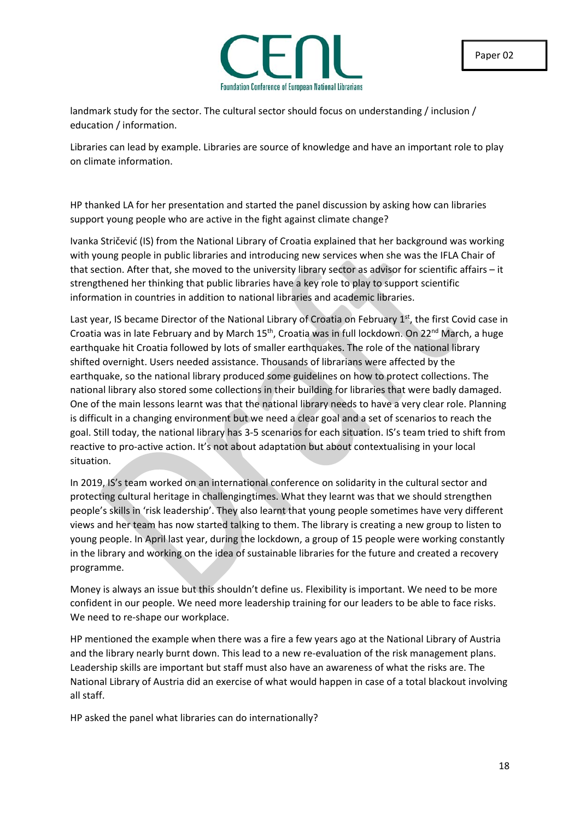

landmark study for the sector. The cultural sector should focus on understanding / inclusion / education / information.

Libraries can lead by example. Libraries are source of knowledge and have an important role to play on climate information.

HP thanked LA for her presentation and started the panel discussion by asking how can libraries support young people who are active in the fight against climate change?

Ivanka Stričević (IS) from the National Library of Croatia explained that her background was working with young people in public libraries and introducing new services when she was the IFLA Chair of that section. After that, she moved to the university library sector as advisor for scientific affairs – it strengthened her thinking that public libraries have a key role to play to support scientific information in countries in addition to national libraries and academic libraries.

Last year, IS became Director of the National Library of Croatia on February 1<sup>st</sup>, the first Covid case in Croatia was in late February and by March 15<sup>th</sup>, Croatia was in full lockdown. On 22<sup>nd</sup> March, a huge earthquake hit Croatia followed by lots of smaller earthquakes. The role of the national library shifted overnight. Users needed assistance. Thousands of librarians were affected by the earthquake, so the national library produced some guidelines on how to protect collections. The national library also stored some collections in their building for libraries that were badly damaged. One of the main lessons learnt was that the national library needs to have a very clear role. Planning is difficult in a changing environment but we need a clear goal and a set of scenarios to reach the goal. Still today, the national library has 3-5 scenarios for each situation. IS's team tried to shift from reactive to pro-active action. It's not about adaptation but about contextualising in your local situation.

In 2019, IS's team worked on an international conference on solidarity in the cultural sector and protecting cultural heritage in challengingtimes. What they learnt was that we should strengthen people's skills in 'risk leadership'. They also learnt that young people sometimes have very different views and her team has now started talking to them. The library is creating a new group to listen to young people. In April last year, during the lockdown, a group of 15 people were working constantly in the library and working on the idea of sustainable libraries for the future and created a recovery programme.

Money is always an issue but this shouldn't define us. Flexibility is important. We need to be more confident in our people. We need more leadership training for our leaders to be able to face risks. We need to re-shape our workplace.

HP mentioned the example when there was a fire a few years ago at the National Library of Austria and the library nearly burnt down. This lead to a new re-evaluation of the risk management plans. Leadership skills are important but staff must also have an awareness of what the risks are. The National Library of Austria did an exercise of what would happen in case of a total blackout involving all staff.

HP asked the panel what libraries can do internationally?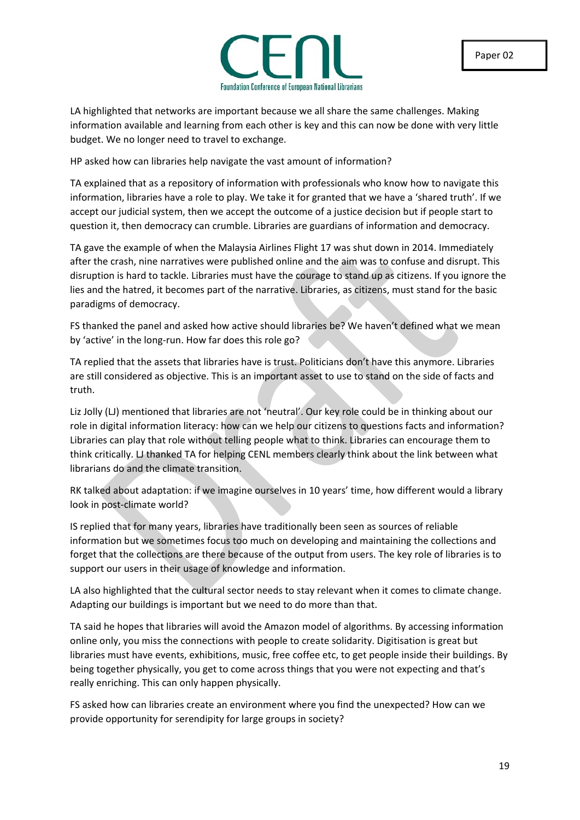

LA highlighted that networks are important because we all share the same challenges. Making information available and learning from each other is key and this can now be done with very little budget. We no longer need to travel to exchange.

HP asked how can libraries help navigate the vast amount of information?

TA explained that as a repository of information with professionals who know how to navigate this information, libraries have a role to play. We take it for granted that we have a 'shared truth'. If we accept our judicial system, then we accept the outcome of a justice decision but if people start to question it, then democracy can crumble. Libraries are guardians of information and democracy.

TA gave the example of when the Malaysia Airlines Flight 17 was shut down in 2014. Immediately after the crash, nine narratives were published online and the aim was to confuse and disrupt. This disruption is hard to tackle. Libraries must have the courage to stand up as citizens. If you ignore the lies and the hatred, it becomes part of the narrative. Libraries, as citizens, must stand for the basic paradigms of democracy.

FS thanked the panel and asked how active should libraries be? We haven't defined what we mean by 'active' in the long-run. How far does this role go?

TA replied that the assets that libraries have is trust. Politicians don't have this anymore. Libraries are still considered as objective. This is an important asset to use to stand on the side of facts and truth.

Liz Jolly (LJ) mentioned that libraries are not 'neutral'. Our key role could be in thinking about our role in digital information literacy: how can we help our citizens to questions facts and information? Libraries can play that role without telling people what to think. Libraries can encourage them to think critically. LJ thanked TA for helping CENL members clearly think about the link between what librarians do and the climate transition.

RK talked about adaptation: if we imagine ourselves in 10 years' time, how different would a library look in post-climate world?

IS replied that for many years, libraries have traditionally been seen as sources of reliable information but we sometimes focus too much on developing and maintaining the collections and forget that the collections are there because of the output from users. The key role of libraries is to support our users in their usage of knowledge and information.

LA also highlighted that the cultural sector needs to stay relevant when it comes to climate change. Adapting our buildings is important but we need to do more than that.

TA said he hopes that libraries will avoid the Amazon model of algorithms. By accessing information online only, you miss the connections with people to create solidarity. Digitisation is great but libraries must have events, exhibitions, music, free coffee etc, to get people inside their buildings. By being together physically, you get to come across things that you were not expecting and that's really enriching. This can only happen physically.

FS asked how can libraries create an environment where you find the unexpected? How can we provide opportunity for serendipity for large groups in society?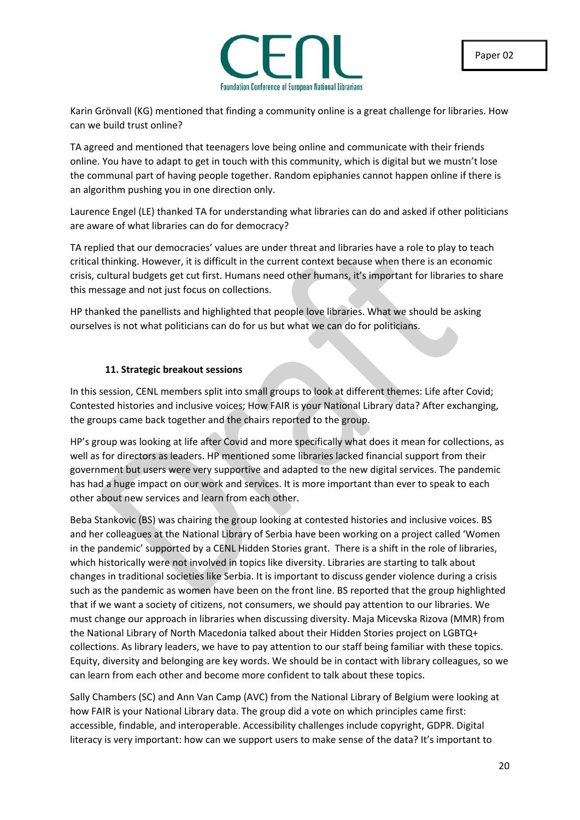Karin Grönvall (KG) mentioned that finding a community online is a great challenge for libraries. How can we build trust online?

TA agreed and mentioned that teenagers love being online and communicate with their friends online. You have to adapt to get in touch with this community, which is digital but we mustn't lose the communal part of having people together. Random epiphanies cannot happen online if there is an algorithm pushing you in one direction only.

Laurence Engel (LE) thanked TA for understanding what libraries can do and asked if other politicians are aware of what libraries can do for democracy?

TA replied that our democracies' values are under threat and libraries have a role to play to teach critical thinking. However, it is difficult in the current context because when there is an economic crisis, cultural budgets get cut first. Humans need other humans, it's important for libraries to share this message and not just focus on collections.

HP thanked the panellists and highlighted that people love libraries. What we should be asking ourselves is not what politicians can do for us but what we can do for politicians.

### **11. Strategic breakout sessions**

In this session, CENL members split into small groups to look at different themes: Life after Covid; Contested histories and inclusive voices; How FAIR is your National Library data? After exchanging, the groups came back together and the chairs reported to the group.

HP's group was looking at life after Covid and more specifically what does it mean for collections, as well as for directors as leaders. HP mentioned some libraries lacked financial support from their government but users were very supportive and adapted to the new digital services. The pandemic has had a huge impact on our work and services. It is more important than ever to speak to each other about new services and learn from each other.

Beba Stankovic (BS) was chairing the group looking at contested histories and inclusive voices. BS and her colleagues at the National Library of Serbia have been working on a project called 'Women in the pandemic' supported by a CENL Hidden Stories grant. There is a shift in the role of libraries, which historically were not involved in topics like diversity. Libraries are starting to talk about changes in traditional societies like Serbia. It is important to discuss gender violence during a crisis such as the pandemic as women have been on the front line. BS reported that the group highlighted that if we want a society of citizens, not consumers, we should pay attention to our libraries. We must change our approach in libraries when discussing diversity. Maja Micevska Rizova (MMR) from the National Library of North Macedonia talked about their Hidden Stories project on LGBTQ+ collections. As library leaders, we have to pay attention to our staff being familiar with these topics. Equity, diversity and belonging are key words. We should be in contact with library colleagues, so we can learn from each other and become more confident to talk about these topics.

Sally Chambers (SC) and Ann Van Camp (AVC) from the National Library of Belgium were looking at how FAIR is your National Library data. The group did a vote on which principles came first: accessible, findable, and interoperable. Accessibility challenges include copyright, GDPR. Digital literacy is very important: how can we support users to make sense of the data? It's important to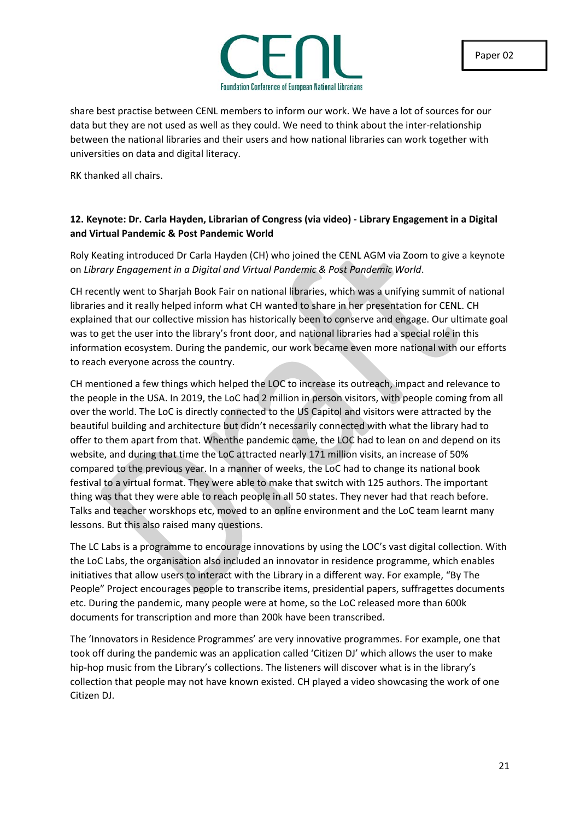

share best practise between CENL members to inform our work. We have a lot of sources for our data but they are not used as well as they could. We need to think about the inter-relationship between the national libraries and their users and how national libraries can work together with universities on data and digital literacy.

RK thanked all chairs.

### **12. Keynote: Dr. Carla Hayden, Librarian of Congress (via video) - Library Engagement in a Digital and Virtual Pandemic & Post Pandemic World**

Roly Keating introduced Dr Carla Hayden (CH) who joined the CENL AGM via Zoom to give a keynote on *Library Engagement in a Digital and Virtual Pandemic & Post Pandemic World*.

CH recently went to Sharjah Book Fair on national libraries, which was a unifying summit of national libraries and it really helped inform what CH wanted to share in her presentation for CENL. CH explained that our collective mission has historically been to conserve and engage. Our ultimate goal was to get the user into the library's front door, and national libraries had a special role in this information ecosystem. During the pandemic, our work became even more national with our efforts to reach everyone across the country.

CH mentioned a few things which helped the LOC to increase its outreach, impact and relevance to the people in the USA. In 2019, the LoC had 2 million in person visitors, with people coming from all over the world. The LoC is directly connected to the US Capitol and visitors were attracted by the beautiful building and architecture but didn't necessarily connected with what the library had to offer to them apart from that. Whenthe pandemic came, the LOC had to lean on and depend on its website, and during that time the LoC attracted nearly 171 million visits, an increase of 50% compared to the previous year. In a manner of weeks, the LoC had to change its national book festival to a virtual format. They were able to make that switch with 125 authors. The important thing was that they were able to reach people in all 50 states. They never had that reach before. Talks and teacher worskhops etc, moved to an online environment and the LoC team learnt many lessons. But this also raised many questions.

The LC Labs is a programme to encourage innovations by using the LOC's vast digital collection. With the LoC Labs, the organisation also included an innovator in residence programme, which enables initiatives that allow users to interact with the Library in a different way. For example, "By The People" Project encourages people to transcribe items, presidential papers, suffragettes documents etc. During the pandemic, many people were at home, so the LoC released more than 600k documents for transcription and more than 200k have been transcribed.

The 'Innovators in Residence Programmes' are very innovative programmes. For example, one that took off during the pandemic was an application called 'Citizen DJ' which allows the user to make hip-hop music from the Library's collections. The listeners will discover what is in the library's collection that people may not have known existed. CH played a video showcasing the work of one Citizen DJ.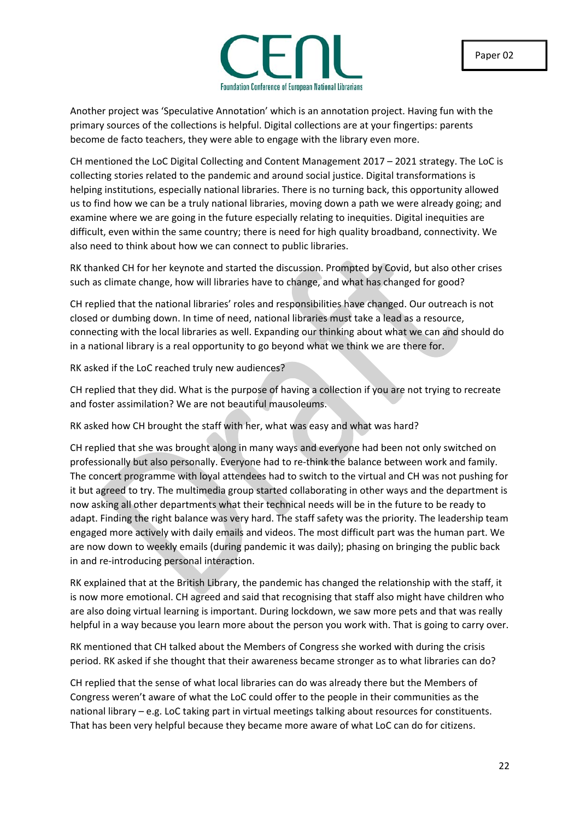

Another project was 'Speculative Annotation' which is an annotation project. Having fun with the primary sources of the collections is helpful. Digital collections are at your fingertips: parents become de facto teachers, they were able to engage with the library even more.

CH mentioned the LoC Digital Collecting and Content Management 2017 – 2021 strategy. The LoC is collecting stories related to the pandemic and around social justice. Digital transformations is helping institutions, especially national libraries. There is no turning back, this opportunity allowed us to find how we can be a truly national libraries, moving down a path we were already going; and examine where we are going in the future especially relating to inequities. Digital inequities are difficult, even within the same country; there is need for high quality broadband, connectivity. We also need to think about how we can connect to public libraries.

RK thanked CH for her keynote and started the discussion. Prompted by Covid, but also other crises such as climate change, how will libraries have to change, and what has changed for good?

CH replied that the national libraries' roles and responsibilities have changed. Our outreach is not closed or dumbing down. In time of need, national libraries must take a lead as a resource, connecting with the local libraries as well. Expanding our thinking about what we can and should do in a national library is a real opportunity to go beyond what we think we are there for.

RK asked if the LoC reached truly new audiences?

CH replied that they did. What is the purpose of having a collection if you are not trying to recreate and foster assimilation? We are not beautiful mausoleums.

RK asked how CH brought the staff with her, what was easy and what was hard?

CH replied that she was brought along in many ways and everyone had been not only switched on professionally but also personally. Everyone had to re-think the balance between work and family. The concert programme with loyal attendees had to switch to the virtual and CH was not pushing for it but agreed to try. The multimedia group started collaborating in other ways and the department is now asking all other departments what their technical needs will be in the future to be ready to adapt. Finding the right balance was very hard. The staff safety was the priority. The leadership team engaged more actively with daily emails and videos. The most difficult part was the human part. We are now down to weekly emails (during pandemic it was daily); phasing on bringing the public back in and re-introducing personal interaction.

RK explained that at the British Library, the pandemic has changed the relationship with the staff, it is now more emotional. CH agreed and said that recognising that staff also might have children who are also doing virtual learning is important. During lockdown, we saw more pets and that was really helpful in a way because you learn more about the person you work with. That is going to carry over.

RK mentioned that CH talked about the Members of Congress she worked with during the crisis period. RK asked if she thought that their awareness became stronger as to what libraries can do?

CH replied that the sense of what local libraries can do was already there but the Members of Congress weren't aware of what the LoC could offer to the people in their communities as the national library – e.g. LoC taking part in virtual meetings talking about resources for constituents. That has been very helpful because they became more aware of what LoC can do for citizens.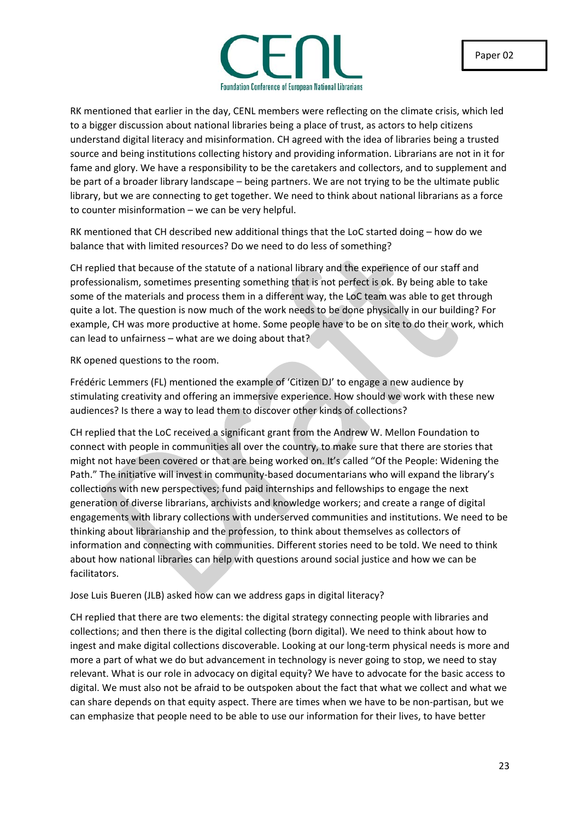

RK mentioned that earlier in the day, CENL members were reflecting on the climate crisis, which led to a bigger discussion about national libraries being a place of trust, as actors to help citizens understand digital literacy and misinformation. CH agreed with the idea of libraries being a trusted source and being institutions collecting history and providing information. Librarians are not in it for fame and glory. We have a responsibility to be the caretakers and collectors, and to supplement and be part of a broader library landscape – being partners. We are not trying to be the ultimate public library, but we are connecting to get together. We need to think about national librarians as a force to counter misinformation – we can be very helpful.

RK mentioned that CH described new additional things that the LoC started doing – how do we balance that with limited resources? Do we need to do less of something?

CH replied that because of the statute of a national library and the experience of our staff and professionalism, sometimes presenting something that is not perfect is ok. By being able to take some of the materials and process them in a different way, the LoC team was able to get through quite a lot. The question is now much of the work needs to be done physically in our building? For example, CH was more productive at home. Some people have to be on site to do their work, which can lead to unfairness – what are we doing about that?

RK opened questions to the room.

Frédéric Lemmers (FL) mentioned the example of 'Citizen DJ' to engage a new audience by stimulating creativity and offering an immersive experience. How should we work with these new audiences? Is there a way to lead them to discover other kinds of collections?

CH replied that the LoC received a significant grant from the Andrew W. Mellon Foundation to connect with people in communities all over the country, to make sure that there are stories that might not have been covered or that are being worked on. It's called "Of the People: Widening the Path." The initiative will invest in community-based documentarians who will expand the library's collections with new perspectives; fund paid internships and fellowships to engage the next generation of diverse librarians, archivists and knowledge workers; and create a range of digital engagements with library collections with underserved communities and institutions. We need to be thinking about librarianship and the profession, to think about themselves as collectors of information and connecting with communities. Different stories need to be told. We need to think about how national libraries can help with questions around social justice and how we can be facilitators.

Jose Luis Bueren (JLB) asked how can we address gaps in digital literacy?

CH replied that there are two elements: the digital strategy connecting people with libraries and collections; and then there is the digital collecting (born digital). We need to think about how to ingest and make digital collections discoverable. Looking at our long-term physical needs is more and more a part of what we do but advancement in technology is never going to stop, we need to stay relevant. What is our role in advocacy on digital equity? We have to advocate for the basic access to digital. We must also not be afraid to be outspoken about the fact that what we collect and what we can share depends on that equity aspect. There are times when we have to be non-partisan, but we can emphasize that people need to be able to use our information for their lives, to have better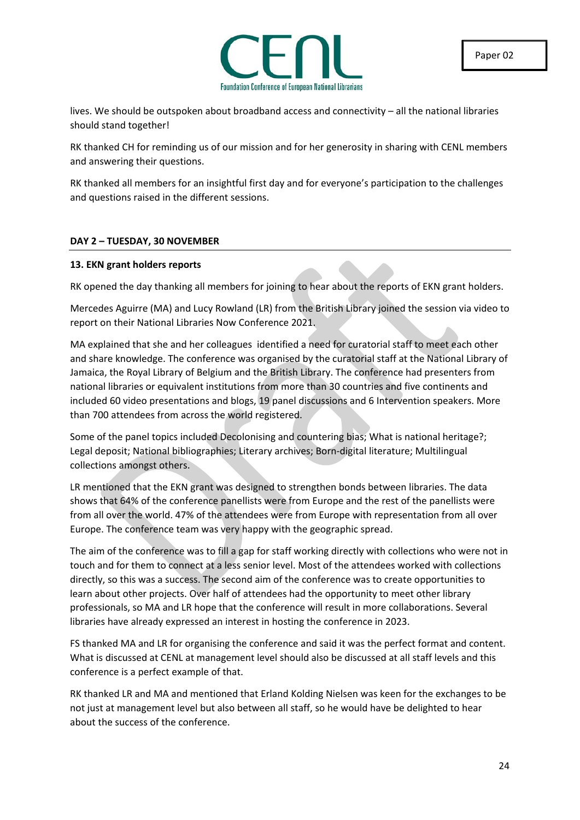

lives. We should be outspoken about broadband access and connectivity – all the national libraries should stand together!

RK thanked CH for reminding us of our mission and for her generosity in sharing with CENL members and answering their questions.

RK thanked all members for an insightful first day and for everyone's participation to the challenges and questions raised in the different sessions.

### **DAY 2 – TUESDAY, 30 NOVEMBER**

### **13. EKN grant holders reports**

RK opened the day thanking all members for joining to hear about the reports of EKN grant holders.

Mercedes Aguirre (MA) and Lucy Rowland (LR) from the British Library joined the session via video to report on their National Libraries Now Conference 2021.

MA explained that she and her colleagues identified a need for curatorial staff to meet each other and share knowledge. The conference was organised by the curatorial staff at the National Library of Jamaica, the Royal Library of Belgium and the British Library. The conference had presenters from national libraries or equivalent institutions from more than 30 countries and five continents and included 60 video presentations and blogs, 19 panel discussions and 6 Intervention speakers. More than 700 attendees from across the world registered.

Some of the panel topics included Decolonising and countering bias; What is national heritage?; Legal deposit; National bibliographies; Literary archives; Born-digital literature; Multilingual collections amongst others.

LR mentioned that the EKN grant was designed to strengthen bonds between libraries. The data shows that 64% of the conference panellists were from Europe and the rest of the panellists were from all over the world. 47% of the attendees were from Europe with representation from all over Europe. The conference team was very happy with the geographic spread.

The aim of the conference was to fill a gap for staff working directly with collections who were not in touch and for them to connect at a less senior level. Most of the attendees worked with collections directly, so this was a success. The second aim of the conference was to create opportunities to learn about other projects. Over half of attendees had the opportunity to meet other library professionals, so MA and LR hope that the conference will result in more collaborations. Several libraries have already expressed an interest in hosting the conference in 2023.

FS thanked MA and LR for organising the conference and said it was the perfect format and content. What is discussed at CENL at management level should also be discussed at all staff levels and this conference is a perfect example of that.

RK thanked LR and MA and mentioned that Erland Kolding Nielsen was keen for the exchanges to be not just at management level but also between all staff, so he would have be delighted to hear about the success of the conference.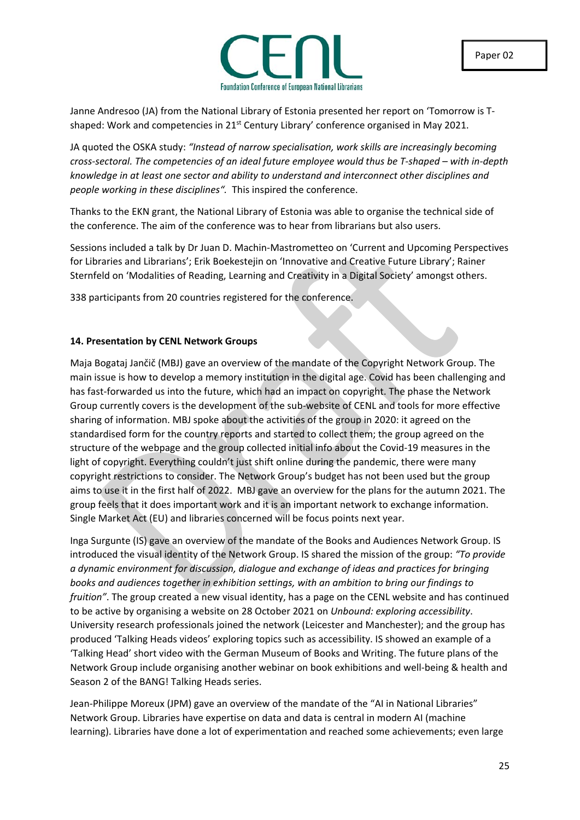

Janne Andresoo (JA) from the National Library of Estonia presented her report on 'Tomorrow is Tshaped: Work and competencies in  $21^{st}$  Century Library' conference organised in May 2021.

JA quoted the OSKA study: *"Instead of narrow specialisation, work skills are increasingly becoming cross-sectoral. The competencies of an ideal future employee would thus be T-shaped – with in-depth knowledge in at least one sector and ability to understand and interconnect other disciplines and people working in these disciplines".* This inspired the conference.

Thanks to the EKN grant, the National Library of Estonia was able to organise the technical side of the conference. The aim of the conference was to hear from librarians but also users.

Sessions included a talk by Dr Juan D. Machin-Mastrometteo on 'Current and Upcoming Perspectives for Libraries and Librarians'; Erik Boekestejin on 'Innovative and Creative Future Library'; Rainer Sternfeld on 'Modalities of Reading, Learning and Creativity in a Digital Society' amongst others.

338 participants from 20 countries registered for the conference.

### **14. Presentation by CENL Network Groups**

Maja Bogataj Jančič (MBJ) gave an overview of the mandate of the Copyright Network Group. The main issue is how to develop a memory institution in the digital age. Covid has been challenging and has fast-forwarded us into the future, which had an impact on copyright. The phase the Network Group currently covers is the development of the sub-website of CENL and tools for more effective sharing of information. MBJ spoke about the activities of the group in 2020: it agreed on the standardised form for the country reports and started to collect them; the group agreed on the structure of the webpage and the group collected initial info about the Covid-19 measures in the light of copyright. Everything couldn't just shift online during the pandemic, there were many copyright restrictions to consider. The Network Group's budget has not been used but the group aims to use it in the first half of 2022. MBJ gave an overview for the plans for the autumn 2021. The group feels that it does important work and it is an important network to exchange information. Single Market Act (EU) and libraries concerned will be focus points next year.

Inga Surgunte (IS) gave an overview of the mandate of the Books and Audiences Network Group. IS introduced the visual identity of the Network Group. IS shared the mission of the group: *"To provide a dynamic environment for discussion, dialogue and exchange of ideas and practices for bringing books and audiences together in exhibition settings, with an ambition to bring our findings to fruition"*. The group created a new visual identity, has a page on the CENL website and has continued to be active by organising a website on 28 October 2021 on *Unbound: exploring accessibility*. University research professionals joined the network (Leicester and Manchester); and the group has produced 'Talking Heads videos' exploring topics such as accessibility. IS showed an example of a 'Talking Head' short video with the German Museum of Books and Writing. The future plans of the Network Group include organising another webinar on book exhibitions and well-being & health and Season 2 of the BANG! Talking Heads series.

Jean-Philippe Moreux (JPM) gave an overview of the mandate of the "AI in National Libraries" Network Group. Libraries have expertise on data and data is central in modern AI (machine learning). Libraries have done a lot of experimentation and reached some achievements; even large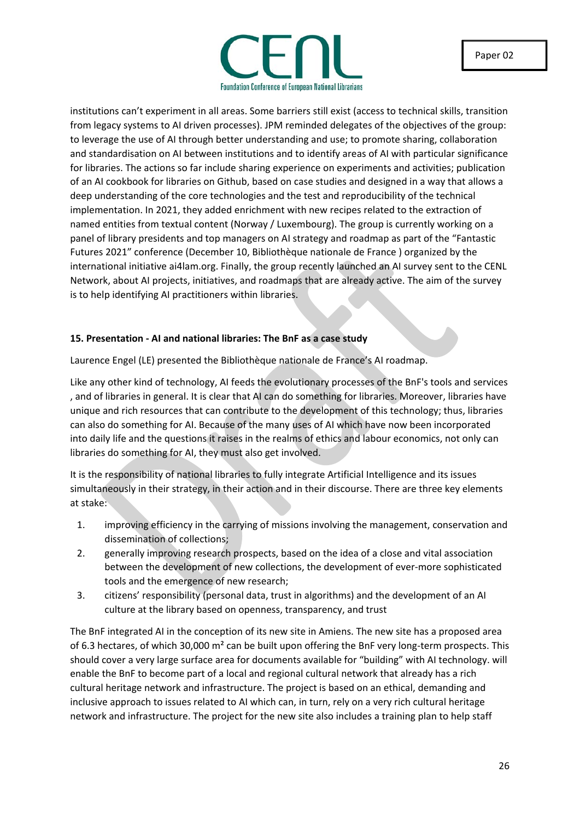

institutions can't experiment in all areas. Some barriers still exist (access to technical skills, transition from legacy systems to AI driven processes). JPM reminded delegates of the objectives of the group: to leverage the use of AI through better understanding and use; to promote sharing, collaboration and standardisation on AI between institutions and to identify areas of AI with particular significance for libraries. The actions so far include sharing experience on experiments and activities; publication of an AI cookbook for libraries on Github, based on case studies and designed in a way that allows a deep understanding of the core technologies and the test and reproducibility of the technical implementation. In 2021, they added enrichment with new recipes related to the extraction of named entities from textual content (Norway / Luxembourg). The group is currently working on a panel of library presidents and top managers on AI strategy and roadmap as part of the "Fantastic Futures 2021" conference (December 10, Bibliothèque nationale de France ) organized by the international initiative ai4lam.org. Finally, the group recently launched an AI survey sent to the CENL Network, about AI projects, initiatives, and roadmaps that are already active. The aim of the survey is to help identifying AI practitioners within libraries.

### **15. Presentation - AI and national libraries: The BnF as a case study**

Laurence Engel (LE) presented the Bibliothèque nationale de France's AI roadmap.

Like any other kind of technology, AI feeds the evolutionary processes of the BnF's tools and services , and of libraries in general. It is clear that AI can do something for libraries. Moreover, libraries have unique and rich resources that can contribute to the development of this technology; thus, libraries can also do something for AI. Because of the many uses of AI which have now been incorporated into daily life and the questions it raises in the realms of ethics and labour economics, not only can libraries do something for AI, they must also get involved.

It is the responsibility of national libraries to fully integrate Artificial Intelligence and its issues simultaneously in their strategy, in their action and in their discourse. There are three key elements at stake:

- 1. improving efficiency in the carrying of missions involving the management, conservation and dissemination of collections;
- 2. generally improving research prospects, based on the idea of a close and vital association between the development of new collections, the development of ever-more sophisticated tools and the emergence of new research;
- 3. citizens' responsibility (personal data, trust in algorithms) and the development of an AI culture at the library based on openness, transparency, and trust

The BnF integrated AI in the conception of its new site in Amiens. The new site has a proposed area of 6.3 hectares, of which 30,000 m<sup>2</sup> can be built upon offering the BnF very long-term prospects. This should cover a very large surface area for documents available for "building" with AI technology. will enable the BnF to become part of a local and regional cultural network that already has a rich cultural heritage network and infrastructure. The project is based on an ethical, demanding and inclusive approach to issues related to AI which can, in turn, rely on a very rich cultural heritage network and infrastructure. The project for the new site also includes a training plan to help staff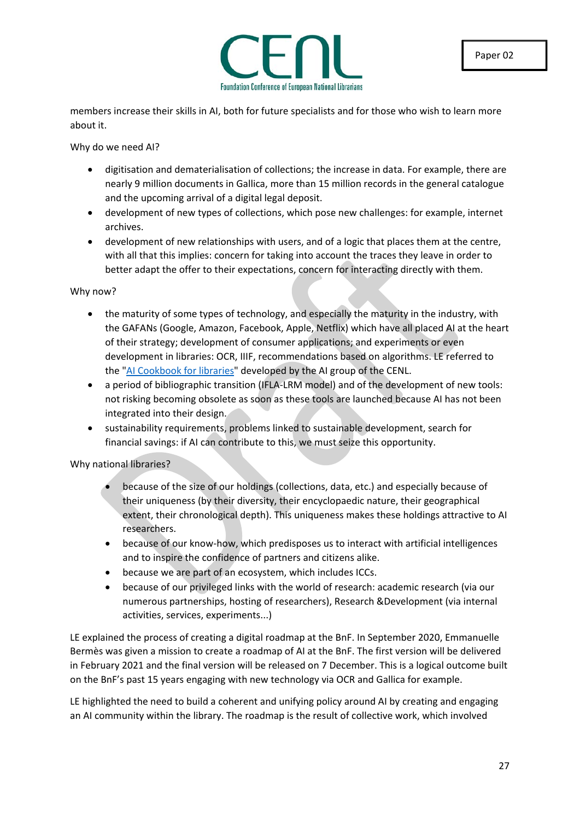

members increase their skills in AI, both for future specialists and for those who wish to learn more about it.

Why do we need AI?

- digitisation and dematerialisation of collections; the increase in data. For example, there are nearly 9 million documents in Gallica, more than 15 million records in the general catalogue and the upcoming arrival of a digital legal deposit.
- development of new types of collections, which pose new challenges: for example, internet archives.
- development of new relationships with users, and of a logic that places them at the centre, with all that this implies: concern for taking into account the traces they leave in order to better adapt the offer to their expectations, concern for interacting directly with them.

### Why now?

- the maturity of some types of technology, and especially the maturity in the industry, with the GAFANs (Google, Amazon, Facebook, Apple, Netflix) which have all placed AI at the heart of their strategy; development of consumer applications; and experiments or even development in libraries: OCR, IIIF, recommendations based on algorithms. LE referred to the ["AI Cookbook for libraries"](https://github.com/CENL-Network-Group-AI/Recipes/wiki/AI-Cookbook-for-Libraries) developed by the AI group of the CENL.
- a period of bibliographic transition (IFLA-LRM model) and of the development of new tools: not risking becoming obsolete as soon as these tools are launched because AI has not been integrated into their design.
- sustainability requirements, problems linked to sustainable development, search for financial savings: if AI can contribute to this, we must seize this opportunity.

### Why national libraries?

- because of the size of our holdings (collections, data, etc.) and especially because of their uniqueness (by their diversity, their encyclopaedic nature, their geographical extent, their chronological depth). This uniqueness makes these holdings attractive to AI researchers.
- because of our know-how, which predisposes us to interact with artificial intelligences and to inspire the confidence of partners and citizens alike.
- because we are part of an ecosystem, which includes ICCs.
- because of our privileged links with the world of research: academic research (via our numerous partnerships, hosting of researchers), Research &Development (via internal activities, services, experiments...)

LE explained the process of creating a digital roadmap at the BnF. In September 2020, Emmanuelle Bermès was given a mission to create a roadmap of AI at the BnF. The first version will be delivered in February 2021 and the final version will be released on 7 December. This is a logical outcome built on the BnF's past 15 years engaging with new technology via OCR and Gallica for example.

LE highlighted the need to build a coherent and unifying policy around AI by creating and engaging an AI community within the library. The roadmap is the result of collective work, which involved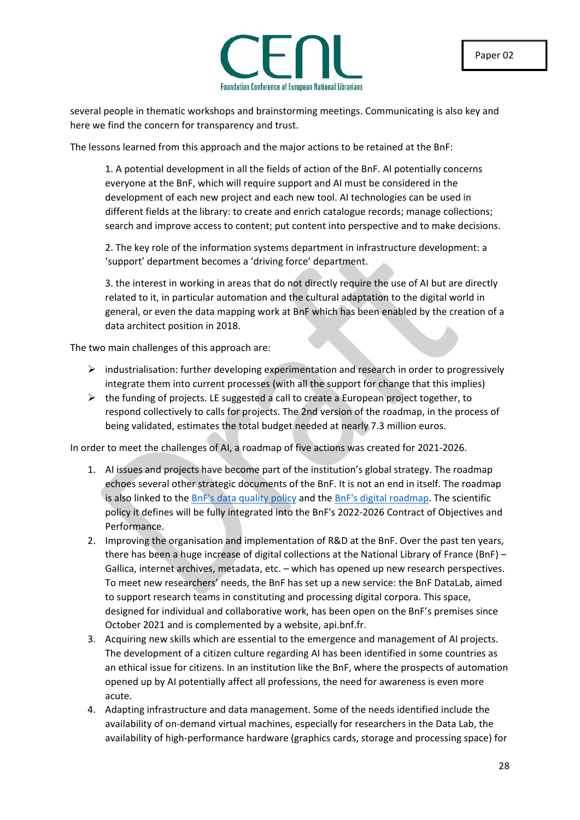

several people in thematic workshops and brainstorming meetings. Communicating is also key and here we find the concern for transparency and trust.

The lessons learned from this approach and the major actions to be retained at the BnF:

1. A potential development in all the fields of action of the BnF. AI potentially concerns everyone at the BnF, which will require support and AI must be considered in the development of each new project and each new tool. AI technologies can be used in different fields at the library: to create and enrich catalogue records; manage collections; search and improve access to content; put content into perspective and to make decisions.

2. The key role of the information systems department in infrastructure development: a 'support' department becomes a 'driving force' department.

3. the interest in working in areas that do not directly require the use of AI but are directly related to it, in particular automation and the cultural adaptation to the digital world in general, or even the data mapping work at BnF which has been enabled by the creation of a data architect position in 2018.

The two main challenges of this approach are:

- $\triangleright$  industrialisation: further developing experimentation and research in order to progressively integrate them into current processes (with all the support for change that this implies)
- $\triangleright$  the funding of projects. LE suggested a call to create a European project together, to respond collectively to calls for projects. The 2nd version of the roadmap, in the process of being validated, estimates the total budget needed at nearly 7.3 million euros.

In order to meet the challenges of AI, a roadmap of five actions was created for 2021-2026.

- 1. AI issues and projects have become part of the institution's global strategy. The roadmap echoes several other strategic documents of the BnF. It is not an end in itself. The roadmap is also linked to th[e BnF's data quality policy](https://www.bnf.fr/sites/default/files/2020-11/BnF_politique_qualit%C3%A9_des_donn%C3%A9es_synth%C3%A8se.pdf) and th[e BnF's digital roadmap.](https://www.bnf.fr/fr/schema-numerique-bnf) The scientific policy it defines will be fully integrated into the BnF's 2022-2026 Contract of Objectives and Performance.
- 2. Improving the organisation and implementation of R&D at the BnF. Over the past ten years, there has been a huge increase of digital collections at the National Library of France (BnF) – Gallica, internet archives, metadata, etc. – which has opened up new research perspectives. To meet new researchers' needs, the BnF has set up a new service: the BnF DataLab, aimed to support research teams in constituting and processing digital corpora. This space, designed for individual and collaborative work, has been open on the BnF's premises since October 2021 and is complemented by a website, api.bnf.fr.
- 3. Acquiring new skills which are essential to the emergence and management of AI projects. The development of a citizen culture regarding AI has been identified in some countries as an ethical issue for citizens. In an institution like the BnF, where the prospects of automation opened up by AI potentially affect all professions, the need for awareness is even more acute.
- 4. Adapting infrastructure and data management. Some of the needs identified include the availability of on-demand virtual machines, especially for researchers in the Data Lab, the availability of high-performance hardware (graphics cards, storage and processing space) for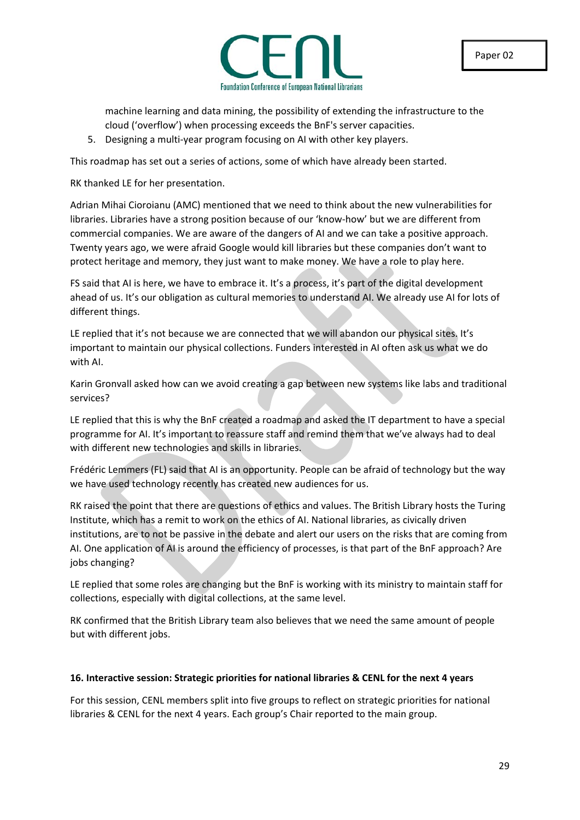

machine learning and data mining, the possibility of extending the infrastructure to the cloud ('overflow') when processing exceeds the BnF's server capacities.

5. Designing a multi-year program focusing on AI with other key players.

This roadmap has set out a series of actions, some of which have already been started.

RK thanked LE for her presentation.

Adrian Mihai Cioroianu (AMC) mentioned that we need to think about the new vulnerabilities for libraries. Libraries have a strong position because of our 'know-how' but we are different from commercial companies. We are aware of the dangers of AI and we can take a positive approach. Twenty years ago, we were afraid Google would kill libraries but these companies don't want to protect heritage and memory, they just want to make money. We have a role to play here.

FS said that AI is here, we have to embrace it. It's a process, it's part of the digital development ahead of us. It's our obligation as cultural memories to understand AI. We already use AI for lots of different things.

LE replied that it's not because we are connected that we will abandon our physical sites. It's important to maintain our physical collections. Funders interested in AI often ask us what we do with AI.

Karin Gronvall asked how can we avoid creating a gap between new systems like labs and traditional services?

LE replied that this is why the BnF created a roadmap and asked the IT department to have a special programme for AI. It's important to reassure staff and remind them that we've always had to deal with different new technologies and skills in libraries.

Frédéric Lemmers (FL) said that AI is an opportunity. People can be afraid of technology but the way we have used technology recently has created new audiences for us.

RK raised the point that there are questions of ethics and values. The British Library hosts the Turing Institute, which has a remit to work on the ethics of AI. National libraries, as civically driven institutions, are to not be passive in the debate and alert our users on the risks that are coming from AI. One application of AI is around the efficiency of processes, is that part of the BnF approach? Are jobs changing?

LE replied that some roles are changing but the BnF is working with its ministry to maintain staff for collections, especially with digital collections, at the same level.

RK confirmed that the British Library team also believes that we need the same amount of people but with different jobs.

### **16. Interactive session: Strategic priorities for national libraries & CENL for the next 4 years**

For this session, CENL members split into five groups to reflect on strategic priorities for national libraries & CENL for the next 4 years. Each group's Chair reported to the main group.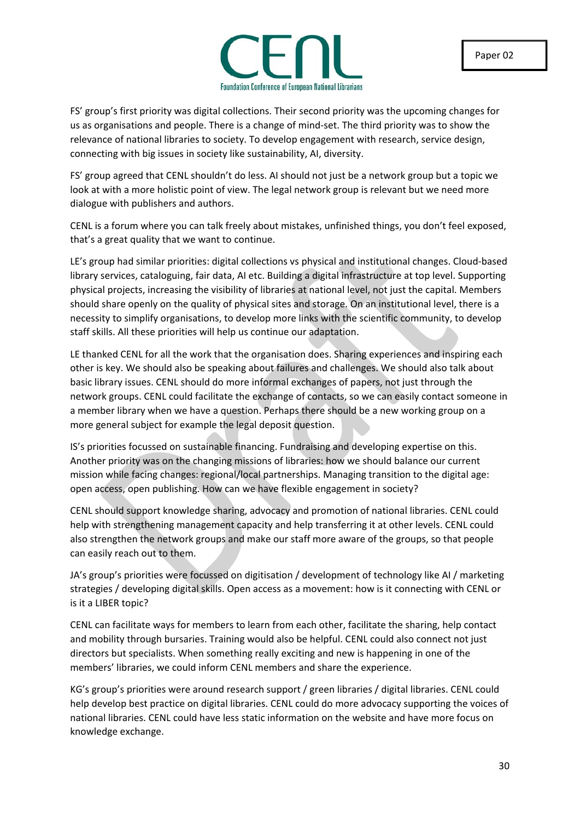

FS' group's first priority was digital collections. Their second priority was the upcoming changes for us as organisations and people. There is a change of mind-set. The third priority was to show the relevance of national libraries to society. To develop engagement with research, service design, connecting with big issues in society like sustainability, AI, diversity.

FS' group agreed that CENL shouldn't do less. AI should not just be a network group but a topic we look at with a more holistic point of view. The legal network group is relevant but we need more dialogue with publishers and authors.

CENL is a forum where you can talk freely about mistakes, unfinished things, you don't feel exposed, that's a great quality that we want to continue.

LE's group had similar priorities: digital collections vs physical and institutional changes. Cloud-based library services, cataloguing, fair data, AI etc. Building a digital infrastructure at top level. Supporting physical projects, increasing the visibility of libraries at national level, not just the capital. Members should share openly on the quality of physical sites and storage. On an institutional level, there is a necessity to simplify organisations, to develop more links with the scientific community, to develop staff skills. All these priorities will help us continue our adaptation.

LE thanked CENL for all the work that the organisation does. Sharing experiences and inspiring each other is key. We should also be speaking about failures and challenges. We should also talk about basic library issues. CENL should do more informal exchanges of papers, not just through the network groups. CENL could facilitate the exchange of contacts, so we can easily contact someone in a member library when we have a question. Perhaps there should be a new working group on a more general subject for example the legal deposit question.

IS's priorities focussed on sustainable financing. Fundraising and developing expertise on this. Another priority was on the changing missions of libraries: how we should balance our current mission while facing changes: regional/local partnerships. Managing transition to the digital age: open access, open publishing. How can we have flexible engagement in society?

CENL should support knowledge sharing, advocacy and promotion of national libraries. CENL could help with strengthening management capacity and help transferring it at other levels. CENL could also strengthen the network groups and make our staff more aware of the groups, so that people can easily reach out to them.

JA's group's priorities were focussed on digitisation / development of technology like AI / marketing strategies / developing digital skills. Open access as a movement: how is it connecting with CENL or is it a LIBER topic?

CENL can facilitate ways for members to learn from each other, facilitate the sharing, help contact and mobility through bursaries. Training would also be helpful. CENL could also connect not just directors but specialists. When something really exciting and new is happening in one of the members' libraries, we could inform CENL members and share the experience.

KG's group's priorities were around research support / green libraries / digital libraries. CENL could help develop best practice on digital libraries. CENL could do more advocacy supporting the voices of national libraries. CENL could have less static information on the website and have more focus on knowledge exchange.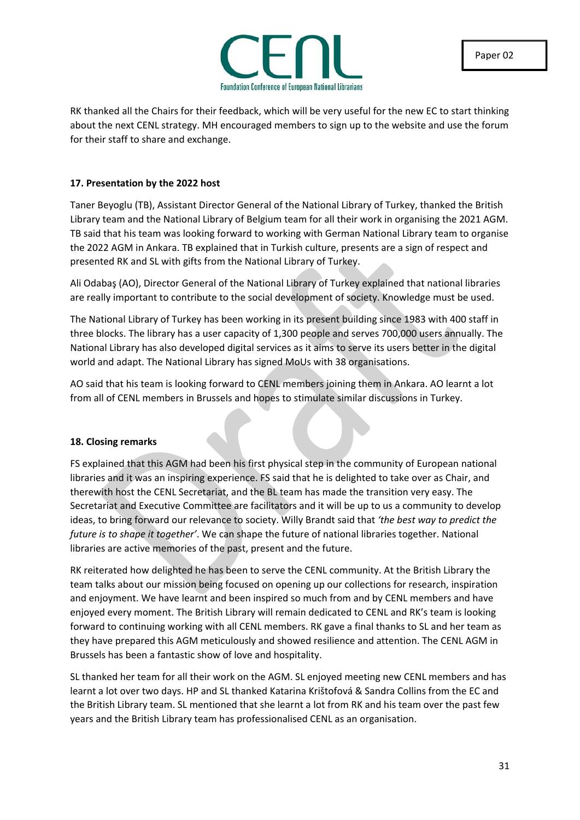

RK thanked all the Chairs for their feedback, which will be very useful for the new EC to start thinking about the next CENL strategy. MH encouraged members to sign up to the website and use the forum for their staff to share and exchange.

### **17. Presentation by the 2022 host**

Taner Beyoglu (TB), Assistant Director General of the National Library of Turkey, thanked the British Library team and the National Library of Belgium team for all their work in organising the 2021 AGM. TB said that his team was looking forward to working with German National Library team to organise the 2022 AGM in Ankara. TB explained that in Turkish culture, presents are a sign of respect and presented RK and SL with gifts from the National Library of Turkey.

Ali Odabaş (AO), Director General of the National Library of Turkey explained that national libraries are really important to contribute to the social development of society. Knowledge must be used.

The National Library of Turkey has been working in its present building since 1983 with 400 staff in three blocks. The library has a user capacity of 1,300 people and serves 700,000 users annually. The National Library has also developed digital services as it aims to serve its users better in the digital world and adapt. The National Library has signed MoUs with 38 organisations.

AO said that his team is looking forward to CENL members joining them in Ankara. AO learnt a lot from all of CENL members in Brussels and hopes to stimulate similar discussions in Turkey.

### **18. Closing remarks**

FS explained that this AGM had been his first physical step in the community of European national libraries and it was an inspiring experience. FS said that he is delighted to take over as Chair, and therewith host the CENL Secretariat, and the BL team has made the transition very easy. The Secretariat and Executive Committee are facilitators and it will be up to us a community to develop ideas, to bring forward our relevance to society. Willy Brandt said that *'the best way to predict the future is to shape it together'*. We can shape the future of national libraries together. National libraries are active memories of the past, present and the future.

RK reiterated how delighted he has been to serve the CENL community. At the British Library the team talks about our mission being focused on opening up our collections for research, inspiration and enjoyment. We have learnt and been inspired so much from and by CENL members and have enjoyed every moment. The British Library will remain dedicated to CENL and RK's team is looking forward to continuing working with all CENL members. RK gave a final thanks to SL and her team as they have prepared this AGM meticulously and showed resilience and attention. The CENL AGM in Brussels has been a fantastic show of love and hospitality.

SL thanked her team for all their work on the AGM. SL enjoyed meeting new CENL members and has learnt a lot over two days. HP and SL thanked Katarina Krištofová & Sandra Collins from the EC and the British Library team. SL mentioned that she learnt a lot from RK and his team over the past few years and the British Library team has professionalised CENL as an organisation.